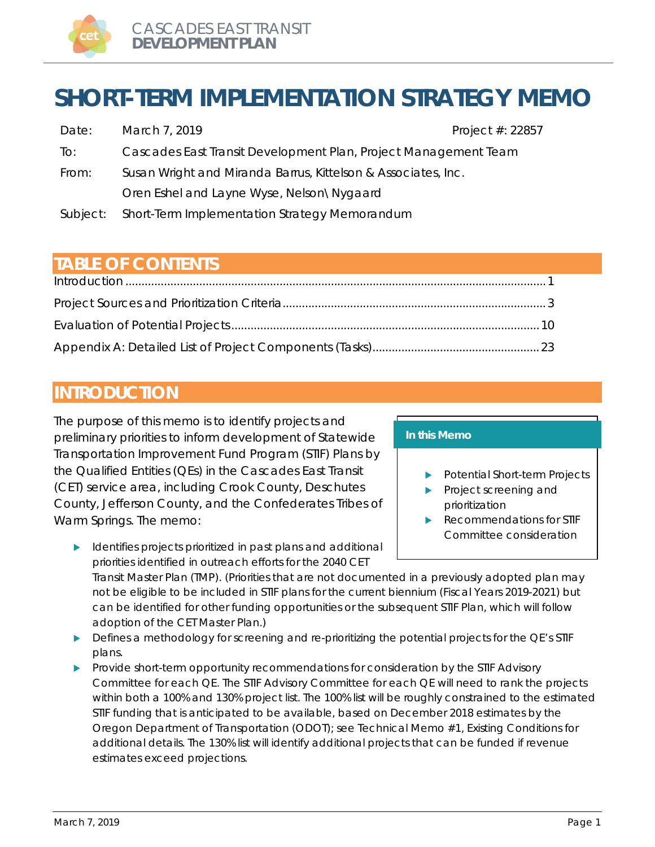

# **SHORT-TERM IMPLEMENTATION STRATEGY MEMO**

| Date:    | March 7, 2019                                                   | Project #: 22857 |
|----------|-----------------------------------------------------------------|------------------|
| To:      | Cascades East Transit Development Plan, Project Management Team |                  |
| From:    | Susan Wright and Miranda Barrus, Kittelson & Associates, Inc.   |                  |
|          | Oren Eshel and Layne Wyse, Nelson\Nygaard                       |                  |
| Subject: | Short-Term Implementation Strategy Memorandum                   |                  |

## **TABLE OF CONTENTS**

## <span id="page-0-0"></span>**INTRODUCTION**

The purpose of this memo is to identify projects and preliminary priorities to inform development of Statewide Transportation Improvement Fund Program (STIF) Plans by the Qualified Entities (QEs) in the Cascades East Transit (CET) service area, including Crook County, Deschutes County, Jefferson County, and the Confederates Tribes of Warm Springs. The memo:

**IDENTIFIES** dentifies projects prioritized in past plans and additional priorities identified in outreach efforts for the 2040 CET

#### **In this Memo**

- Potential Short-term Projects
- Project screening and prioritization
- Recommendations for STIF Committee consideration

Transit Master Plan (TMP). (Priorities that are not documented in a previously adopted plan may not be eligible to be included in STIF plans for the current biennium (Fiscal Years 2019-2021) but can be identified for other funding opportunities or the subsequent STIF Plan, which will follow adoption of the CET Master Plan.)

- **Defines a methodology for screening and re-prioritizing the potential projects for the QE's STIF** plans.
- Provide short-term opportunity recommendations for consideration by the STIF Advisory Committee for each QE. The STIF Advisory Committee for each QE will need to rank the projects within both a 100% and 130% project list. The 100% list will be roughly constrained to the estimated STIF funding that is anticipated to be available, based on December 2018 estimates by the Oregon Department of Transportation (ODOT); see Technical Memo #1, Existing Conditions for additional details. The 130% list will identify additional projects that can be funded if revenue estimates exceed projections.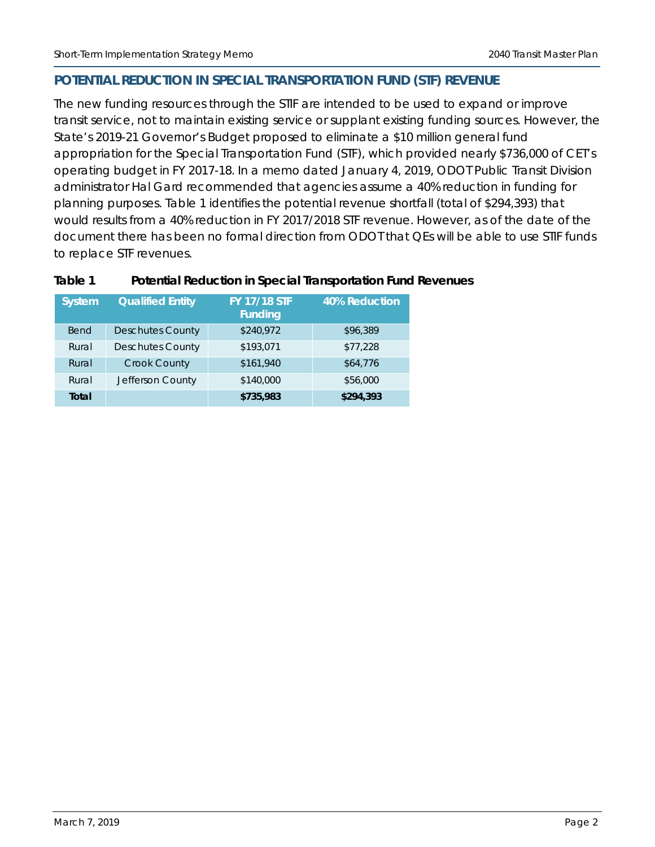#### **POTENTIAL REDUCTION IN SPECIAL TRANSPORTATION FUND (STF) REVENUE**

The new funding resources through the STIF are intended to be used to expand or improve transit service, not to maintain existing service or supplant existing funding sources. However, the State's 2019-21 Governor's Budget proposed to eliminate a \$10 million general fund appropriation for the Special Transportation Fund (STF), which provided nearly \$736,000 of CET's operating budget in FY 2017-18. In a memo dated January 4, 2019, ODOT Public Transit Division administrator Hal Gard recommended that agencies assume a 40% reduction in funding for planning purposes. [Table 1](#page-1-0) identifies the potential revenue shortfall (total of \$294,393) that would results from a 40% reduction in FY 2017/2018 STF revenue. However, as of the date of the document there has been no formal direction from ODOT that QEs will be able to use STIF funds to replace STF revenues.

| <b>System</b> | <b>Qualified Entity</b> | <b>FY 17/18 STF</b><br><b>Funding</b> | 40% Reduction |
|---------------|-------------------------|---------------------------------------|---------------|
| <b>Bend</b>   | <b>Deschutes County</b> | \$240,972                             | \$96,389      |
| Rural         | <b>Deschutes County</b> | \$193,071                             | \$77,228      |
| Rural         | <b>Crook County</b>     | \$161,940                             | \$64,776      |
| Rural         | Jefferson County        | \$140,000                             | \$56,000      |
| Total         |                         | \$735,983                             | \$294,393     |

#### <span id="page-1-0"></span>**Table 1 Potential Reduction in Special Transportation Fund Revenues**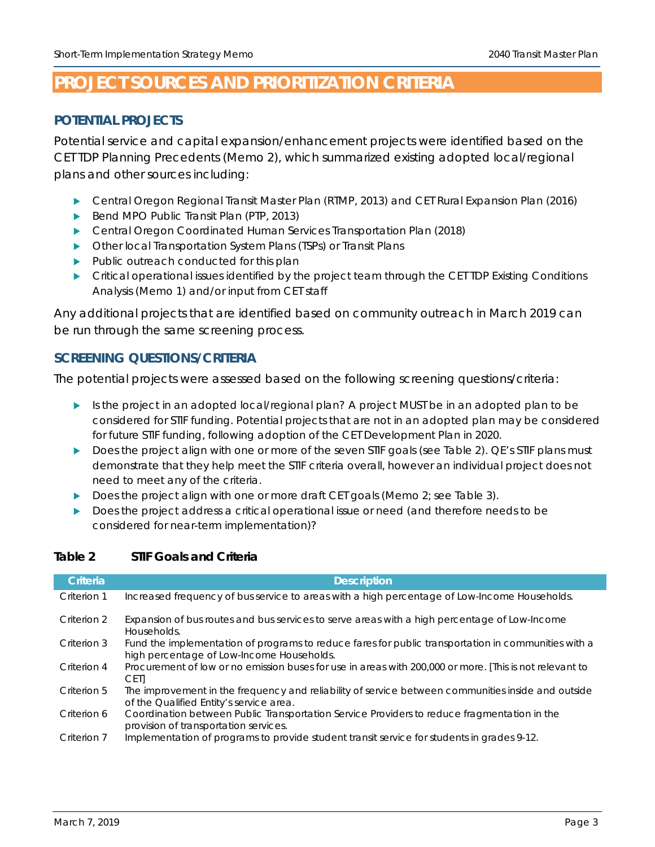## <span id="page-2-0"></span>**PROJECT SOURCES AND PRIORITIZATION CRITERIA**

#### **POTENTIAL PROJECTS**

Potential service and capital expansion/enhancement projects were identified based on the CET TDP Planning Precedents (Memo 2), which summarized existing adopted local/regional plans and other sources including:

- Central Oregon Regional Transit Master Plan (RTMP, 2013) and CET Rural Expansion Plan (2016)
- Bend MPO Public Transit Plan (PTP, 2013)
- Central Oregon Coordinated Human Services Transportation Plan (2018)
- Other local Transportation System Plans (TSPs) or Transit Plans
- Public outreach conducted for this plan
- **F** Critical operational issues identified by the project team through the CET TDP Existing Conditions Analysis (Memo 1) and/or input from CET staff

Any additional projects that are identified based on community outreach in March 2019 can be run through the same screening process.

#### **SCREENING QUESTIONS/CRITERIA**

The potential projects were assessed based on the following screening questions/criteria:

- Is the project in an adopted local/regional plan? A project MUST be in an adopted plan to be considered for STIF funding. Potential projects that are not in an adopted plan may be considered for future STIF funding, following adoption of the CET Development Plan in 2020.
- Does the project align with one or more of the seven STIF goals (see [Table 2\)](#page-2-1). QE's STIF plans must demonstrate that they help meet the STIF criteria *overall*, however an individual project does not need to meet any of the criteria.
- Does the project align with one or more draft CET goals (Memo 2; see [Table 3\)](#page-3-0).
- Does the project address a critical operational issue or need (and therefore needs to be considered for near-term implementation)?

| Criteria    | <b>Description</b>                                                                                                                               |
|-------------|--------------------------------------------------------------------------------------------------------------------------------------------------|
| Criterion 1 | Increased frequency of bus service to areas with a high percentage of Low-Income Households.                                                     |
| Criterion 2 | Expansion of bus routes and bus services to serve areas with a high percentage of Low-Income<br>Households.                                      |
| Criterion 3 | Fund the implementation of programs to reduce fares for public transportation in communities with a<br>high percentage of Low-Income Households. |
| Criterion 4 | Procurement of low or no emission buses for use in areas with 200,000 or more. [This is not relevant to<br><b>CETI</b>                           |
| Criterion 5 | The improvement in the frequency and reliability of service between communities inside and outside<br>of the Qualified Entity's service area.    |
| Criterion 6 | Coordination between Public Transportation Service Providers to reduce fragmentation in the<br>provision of transportation services.             |
| Criterion 7 | Implementation of programs to provide student transit service for students in grades 9-12.                                                       |

#### <span id="page-2-1"></span>**Table 2 STIF Goals and Criteria**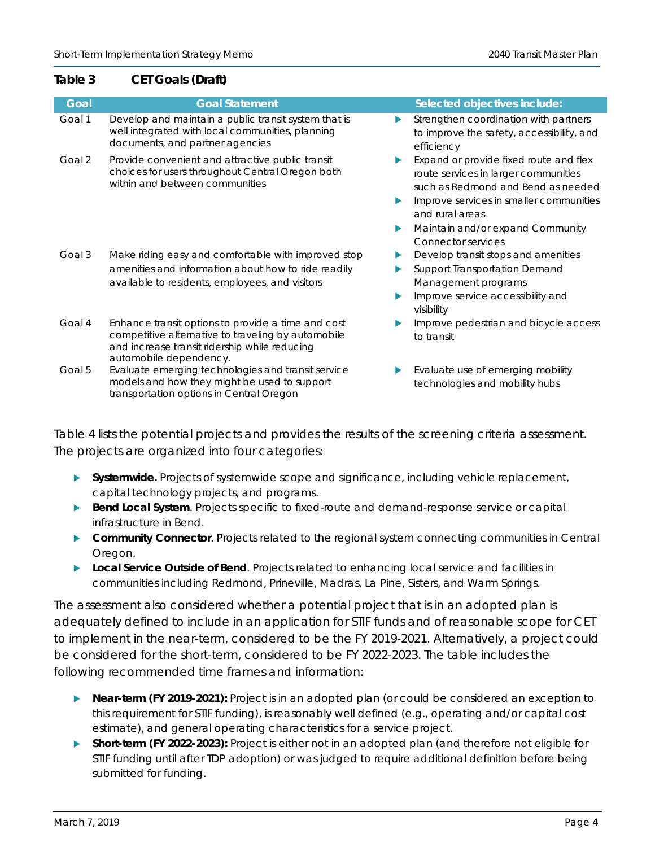#### <span id="page-3-0"></span>**Table 3 CET Goals (Draft)**

| Goal   | <b>Goal Statement</b>                                                                                                                                                               |             | Selected objectives include:                                                                                                                                                                                                                        |
|--------|-------------------------------------------------------------------------------------------------------------------------------------------------------------------------------------|-------------|-----------------------------------------------------------------------------------------------------------------------------------------------------------------------------------------------------------------------------------------------------|
| Goal 1 | Develop and maintain a public transit system that is<br>well integrated with local communities, planning<br>documents, and partner agencies                                         | ▶           | Strengthen coordination with partners<br>to improve the safety, accessibility, and<br>efficiency                                                                                                                                                    |
| Goal 2 | Provide convenient and attractive public transit<br>choices for users throughout Central Oregon both<br>within and between communities                                              | ▶<br>▶<br>▶ | Expand or provide fixed route and flex<br>route services in larger communities<br>such as Redmond and Bend as needed<br>Improve services in smaller communities<br>and rural areas<br>Maintain and/or expand Community<br><b>Connector services</b> |
| Goal 3 | Make riding easy and comfortable with improved stop<br>amenities and information about how to ride readily<br>available to residents, employees, and visitors                       | ▶<br>▶<br>▶ | Develop transit stops and amenities<br>Support Transportation Demand<br>Management programs<br>Improve service accessibility and<br>visibility                                                                                                      |
| Goal 4 | Enhance transit options to provide a time and cost<br>competitive alternative to traveling by automobile<br>and increase transit ridership while reducing<br>automobile dependency. | ▶           | Improve pedestrian and bicycle access<br>to transit                                                                                                                                                                                                 |
| Goal 5 | Evaluate emerging technologies and transit service<br>models and how they might be used to support<br>transportation options in Central Oregon                                      | ▶           | Evaluate use of emerging mobility<br>technologies and mobility hubs                                                                                                                                                                                 |

[Table 4](#page-4-0) lists the potential projects and provides the results of the screening criteria assessment. The projects are organized into four categories:

- **Systemwide.** Projects of systemwide scope and significance, including vehicle replacement, capital technology projects, and programs.
- **Bend Local System**. Projects specific to fixed-route and demand-response service or capital infrastructure in Bend.
- **Community Connector**. Projects related to the regional system connecting communities in Central Oregon.
- **Local Service Outside of Bend**. Projects related to enhancing local service and facilities in communities including Redmond, Prineville, Madras, La Pine, Sisters, and Warm Springs.

The assessment also considered whether a potential project that is in an adopted plan is adequately defined to include in an application for STIF funds and of reasonable scope for CET to implement in the near-term, considered to be the FY 2019-2021. Alternatively, a project could be considered for the short-term, considered to be FY 2022-2023. The table includes the following recommended time frames and information:

- **Near-term (FY 2019-2021):** Project is in an adopted plan (or could be considered an exception to this requirement for STIF funding), is reasonably well defined (e.g., operating and/or capital cost estimate), and general operating characteristics for a service project.
- **Short-term (FY 2022-2023):** Project is either not in an adopted plan (and therefore not eligible for STIF funding until after TDP adoption) or was judged to require additional definition before being submitted for funding.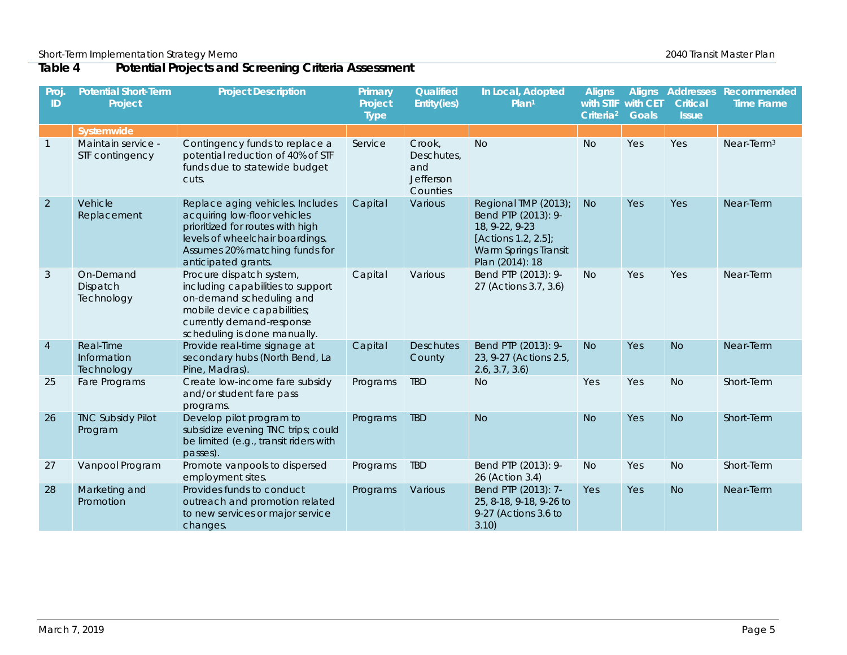#### **Table 4 Potential Projects and Screening Criteria Assessment**

<span id="page-4-0"></span>

| Proj<br>ID     | <b>Potential Short-Term</b><br>Project | <b>Project Description</b>                                                                                                                                                                       | Primary<br>Project<br><b>Type</b> | Qualified<br>Entity(ies)                             | In Local, Adopted<br>Plan <sup>1</sup>                                                                                          | <b>Aligns</b><br>with STIF<br>Criteria <sup>2</sup> | with CET<br><b>Goals</b> | <b>Critical</b><br><b>Issue</b> | Aligns Addresses Recommended<br><b>Time Frame</b> |
|----------------|----------------------------------------|--------------------------------------------------------------------------------------------------------------------------------------------------------------------------------------------------|-----------------------------------|------------------------------------------------------|---------------------------------------------------------------------------------------------------------------------------------|-----------------------------------------------------|--------------------------|---------------------------------|---------------------------------------------------|
|                | Systemwide                             |                                                                                                                                                                                                  |                                   |                                                      |                                                                                                                                 |                                                     |                          |                                 |                                                   |
| $\overline{1}$ | Maintain service -<br>STF contingency  | Contingency funds to replace a<br>potential reduction of 40% of STF<br>funds due to statewide budget<br>cuts.                                                                                    | Service                           | Crook,<br>Deschutes,<br>and<br>Jefferson<br>Counties | <b>No</b>                                                                                                                       | <b>No</b>                                           | Yes                      | Yes                             | Near-Term $3$                                     |
| $\overline{2}$ | Vehicle<br>Replacement                 | Replace aging vehicles. Includes<br>acquiring low-floor vehicles<br>prioritized for routes with high<br>levels of wheelchair boardings.<br>Assumes 20% matching funds for<br>anticipated grants. | Capital                           | Various                                              | Regional TMP (2013);<br>Bend PTP (2013): 9-<br>18, 9-22, 9-23<br>[Actions 1.2, 2.5];<br>Warm Springs Transit<br>Plan (2014): 18 | <b>No</b>                                           | Yes                      | Yes                             | Near-Term                                         |
| 3              | On-Demand<br>Dispatch<br>Technology    | Procure dispatch system,<br>including capabilities to support<br>on-demand scheduling and<br>mobile device capabilities;<br>currently demand-response<br>scheduling is done manually.            | Capital                           | Various                                              | Bend PTP (2013): 9-<br>27 (Actions 3.7, 3.6)                                                                                    | <b>No</b>                                           | Yes                      | Yes                             | Near-Term                                         |
| $\overline{4}$ | Real-Time<br>Information<br>Technology | Provide real-time signage at<br>secondary hubs (North Bend, La<br>Pine, Madras).                                                                                                                 | Capital                           | <b>Deschutes</b><br>County                           | Bend PTP (2013): 9-<br>23, 9-27 (Actions 2.5,<br>2.6, 3.7, 3.6                                                                  | <b>No</b>                                           | Yes                      | <b>No</b>                       | Near-Term                                         |
| 25             | Fare Programs                          | Create low-income fare subsidy<br>and/or student fare pass<br>programs.                                                                                                                          | Programs                          | <b>TBD</b>                                           | <b>No</b>                                                                                                                       | Yes                                                 | Yes                      | <b>No</b>                       | Short-Term                                        |
| 26             | <b>TNC Subsidy Pilot</b><br>Program    | Develop pilot program to<br>subsidize evening TNC trips; could<br>be limited (e.g., transit riders with<br>passes).                                                                              | Programs                          | <b>TBD</b>                                           | <b>No</b>                                                                                                                       | <b>No</b>                                           | <b>Yes</b>               | <b>No</b>                       | Short-Term                                        |
| 27             | Vanpool Program                        | Promote vanpools to dispersed<br>employment sites.                                                                                                                                               | Programs                          | <b>TBD</b>                                           | Bend PTP (2013): 9-<br>26 (Action 3.4)                                                                                          | <b>No</b>                                           | Yes                      | <b>No</b>                       | Short-Term                                        |
| 28             | Marketing and<br>Promotion             | Provides funds to conduct<br>outreach and promotion related<br>to new services or major service<br>changes.                                                                                      | Programs                          | Various                                              | Bend PTP (2013): 7-<br>25, 8-18, 9-18, 9-26 to<br>9-27 (Actions 3.6 to<br>3.10)                                                 | Yes                                                 | Yes                      | <b>No</b>                       | Near-Term                                         |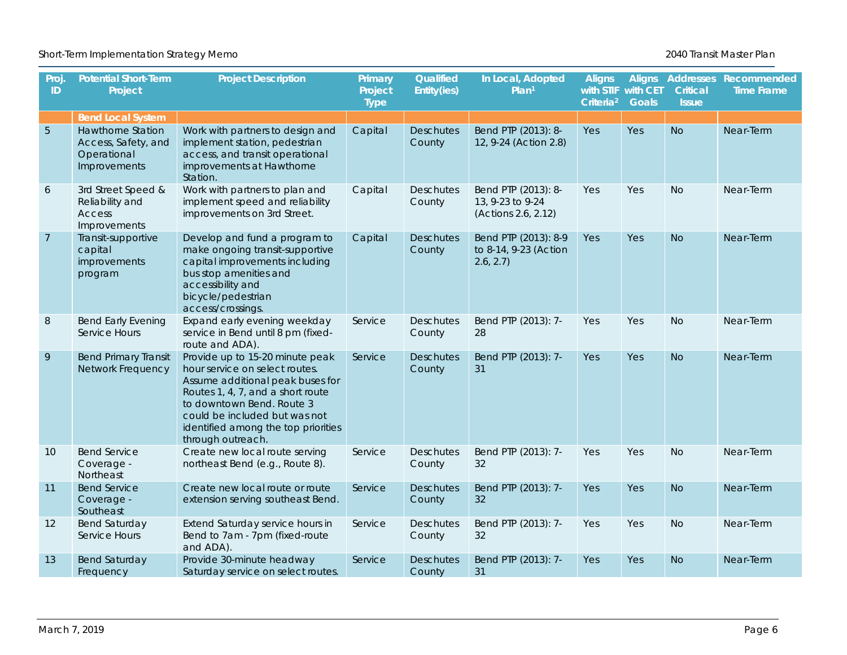Short-Term Implementation Strategy Memo **2016** New Short-Term Implementation Strategy Memo

| Proj<br>ID     | <b>Potential Short-Term</b><br>Project                                  | <b>Project Description</b>                                                                                                                                                                                                                                           | Primary<br>Project<br><b>Type</b> | Qualified<br>Entity(ies)   | In Local, Adopted<br>Plan <sup>1</sup>                         | <b>Aligns</b><br>with STIF with CET<br>Criteria <sup>2</sup> | <b>Goals</b> | Critical<br><b>Issue</b> | Aligns Addresses Recommended<br><b>Time Frame</b> |
|----------------|-------------------------------------------------------------------------|----------------------------------------------------------------------------------------------------------------------------------------------------------------------------------------------------------------------------------------------------------------------|-----------------------------------|----------------------------|----------------------------------------------------------------|--------------------------------------------------------------|--------------|--------------------------|---------------------------------------------------|
|                | <b>Bend Local System</b>                                                |                                                                                                                                                                                                                                                                      |                                   |                            |                                                                |                                                              |              |                          |                                                   |
| $\sqrt{5}$     | Hawthorne Station<br>Access, Safety, and<br>Operational<br>Improvements | Work with partners to design and<br>implement station, pedestrian<br>access, and transit operational<br>improvements at Hawthorne<br>Station.                                                                                                                        | Capital                           | <b>Deschutes</b><br>County | Bend PTP (2013): 8-<br>12, 9-24 (Action 2.8)                   | Yes                                                          | Yes          | <b>No</b>                | Near-Term                                         |
| 6              | 3rd Street Speed &<br>Reliability and<br>Access<br>Improvements         | Work with partners to plan and<br>implement speed and reliability<br>improvements on 3rd Street.                                                                                                                                                                     | Capital                           | <b>Deschutes</b><br>County | Bend PTP (2013): 8-<br>13, 9-23 to 9-24<br>(Actions 2.6, 2.12) | Yes                                                          | Yes          | <b>No</b>                | Near-Term                                         |
| $\overline{7}$ | Transit-supportive<br>capital<br>improvements<br>program                | Develop and fund a program to<br>make ongoing transit-supportive<br>capital improvements including<br>bus stop amenities and<br>accessibility and<br>bicycle/pedestrian<br>access/crossings.                                                                         | Capital                           | <b>Deschutes</b><br>County | Bend PTP (2013): 8-9<br>to 8-14, 9-23 (Action<br>2.6, 2.7)     | Yes                                                          | Yes          | <b>No</b>                | Near-Term                                         |
| $\, 8$         | <b>Bend Early Evening</b><br>Service Hours                              | Expand early evening weekday<br>service in Bend until 8 pm (fixed-<br>route and ADA).                                                                                                                                                                                | Service                           | Deschutes<br>County        | Bend PTP (2013): 7-<br>28                                      | Yes                                                          | Yes          | <b>No</b>                | Near-Term                                         |
| $\mathsf{q}$   | <b>Bend Primary Transit</b><br>Network Frequency                        | Provide up to 15-20 minute peak<br>hour service on select routes.<br>Assume additional peak buses for<br>Routes 1, 4, 7, and a short route<br>to downtown Bend. Route 3<br>could be included but was not<br>identified among the top priorities<br>through outreach. | Service                           | <b>Deschutes</b><br>County | Bend PTP (2013): 7-<br>31                                      | <b>Yes</b>                                                   | <b>Yes</b>   | <b>No</b>                | Near-Term                                         |
| 10             | <b>Bend Service</b><br>Coverage -<br>Northeast                          | Create new local route serving<br>northeast Bend (e.g., Route 8).                                                                                                                                                                                                    | Service                           | <b>Deschutes</b><br>County | Bend PTP (2013): 7-<br>32                                      | Yes                                                          | Yes          | <b>No</b>                | Near-Term                                         |
| 11             | <b>Bend Service</b><br>Coverage -<br>Southeast                          | Create new local route or route<br>extension serving southeast Bend.                                                                                                                                                                                                 | Service                           | <b>Deschutes</b><br>County | Bend PTP (2013): 7-<br>32                                      | Yes                                                          | <b>Yes</b>   | <b>No</b>                | Near-Term                                         |
| 12             | <b>Bend Saturday</b><br>Service Hours                                   | Extend Saturday service hours in<br>Bend to 7am - 7pm (fixed-route<br>and ADA).                                                                                                                                                                                      | Service                           | <b>Deschutes</b><br>County | Bend PTP (2013): 7-<br>32                                      | Yes                                                          | Yes          | <b>No</b>                | Near-Term                                         |
| 13             | <b>Bend Saturday</b><br>Frequency                                       | Provide 30-minute headway<br>Saturday service on select routes.                                                                                                                                                                                                      | Service                           | <b>Deschutes</b><br>County | Bend PTP (2013): 7-<br>31                                      | <b>Yes</b>                                                   | <b>Yes</b>   | <b>No</b>                | Near-Term                                         |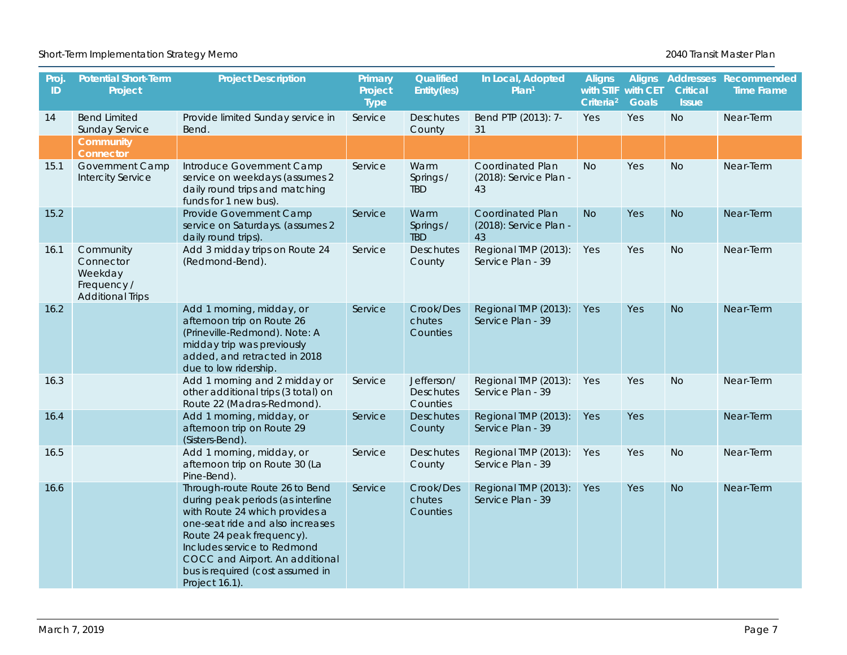#### Short-Term Implementation Strategy Memo **2016** New Short-Term Implementation Strategy Memo

| Proj<br>ID | <b>Potential Short-Term</b><br>Project                                      | <b>Project Description</b>                                                                                                                                                                                                                                                                     | Primary<br>Project<br><b>Type</b> | Qualified<br>Entity(ies)                   | In Local, Adopted<br>Plan <sup>1</sup>           | <b>Aligns</b><br>with STIF with CET<br>Criteria <sup>2</sup> | <b>Goals</b> | <b>Critical</b><br><b>Issue</b> | Aligns Addresses Recommended<br><b>Time Frame</b> |
|------------|-----------------------------------------------------------------------------|------------------------------------------------------------------------------------------------------------------------------------------------------------------------------------------------------------------------------------------------------------------------------------------------|-----------------------------------|--------------------------------------------|--------------------------------------------------|--------------------------------------------------------------|--------------|---------------------------------|---------------------------------------------------|
| 14         | <b>Bend Limited</b><br><b>Sunday Service</b>                                | Provide limited Sunday service in<br>Bend                                                                                                                                                                                                                                                      | Service                           | <b>Deschutes</b><br>County                 | Bend PTP (2013): 7-<br>31                        | Yes                                                          | Yes          | <b>No</b>                       | Near-Term                                         |
|            | Community<br>Connector                                                      |                                                                                                                                                                                                                                                                                                |                                   |                                            |                                                  |                                                              |              |                                 |                                                   |
| 15.1       | <b>Government Camp</b><br><b>Intercity Service</b>                          | Introduce Government Camp<br>service on weekdays (assumes 2<br>daily round trips and matching<br>funds for 1 new bus).                                                                                                                                                                         | Service                           | Warm<br>Springs /<br><b>TBD</b>            | Coordinated Plan<br>(2018): Service Plan -<br>43 | <b>No</b>                                                    | Yes          | <b>No</b>                       | Near-Term                                         |
| 15.2       |                                                                             | Provide Government Camp<br>service on Saturdays. (assumes 2<br>daily round trips).                                                                                                                                                                                                             | Service                           | Warm<br>Springs /<br><b>TBD</b>            | Coordinated Plan<br>(2018): Service Plan -<br>43 | <b>No</b>                                                    | Yes          | <b>No</b>                       | Near-Term                                         |
| 16.1       | Community<br>Connector<br>Weekday<br>Frequency /<br><b>Additional Trips</b> | Add 3 midday trips on Route 24<br>(Redmond-Bend).                                                                                                                                                                                                                                              | Service                           | <b>Deschutes</b><br>County                 | Regional TMP (2013):<br>Service Plan - 39        | Yes                                                          | Yes          | <b>No</b>                       | Near-Term                                         |
| 16.2       |                                                                             | Add 1 morning, midday, or<br>afternoon trip on Route 26<br>(Prineville-Redmond). Note: A<br>midday trip was previously<br>added, and retracted in 2018<br>due to low ridership.                                                                                                                | Service                           | Crook/Des<br>chutes<br>Counties            | Regional TMP (2013):<br>Service Plan - 39        | Yes                                                          | Yes          | <b>No</b>                       | Near-Term                                         |
| 16.3       |                                                                             | Add 1 morning and 2 midday or<br>other additional trips (3 total) on<br>Route 22 (Madras-Redmond).                                                                                                                                                                                             | Service                           | Jefferson/<br><b>Deschutes</b><br>Counties | Regional TMP (2013):<br>Service Plan - 39        | Yes                                                          | Yes          | <b>No</b>                       | Near-Term                                         |
| 16.4       |                                                                             | Add 1 morning, midday, or<br>afternoon trip on Route 29<br>(Sisters-Bend).                                                                                                                                                                                                                     | Service                           | <b>Deschutes</b><br>County                 | Regional TMP (2013):<br>Service Plan - 39        | Yes                                                          | Yes          |                                 | Near-Term                                         |
| 16.5       |                                                                             | Add 1 morning, midday, or<br>afternoon trip on Route 30 (La<br>Pine-Bend).                                                                                                                                                                                                                     | Service                           | <b>Deschutes</b><br>County                 | Regional TMP (2013):<br>Service Plan - 39        | Yes                                                          | Yes          | <b>No</b>                       | Near-Term                                         |
| 16.6       |                                                                             | Through-route Route 26 to Bend<br>during peak periods (as interline<br>with Route 24 which provides a<br>one-seat ride and also increases<br>Route 24 peak frequency).<br>Includes service to Redmond<br>COCC and Airport. An additional<br>bus is required (cost assumed in<br>Project 16.1). | Service                           | Crook/Des<br>chutes<br>Counties            | Regional TMP (2013):<br>Service Plan - 39        | Yes                                                          | Yes          | <b>No</b>                       | Near-Term                                         |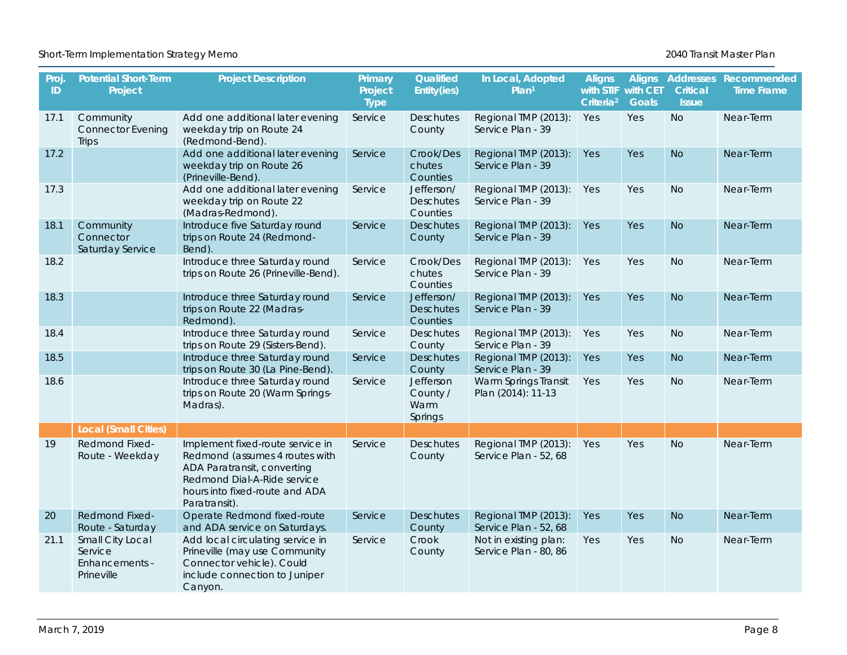| Proj<br>ID | <b>Potential Short-Term</b><br>Project                      | <b>Project Description</b>                                                                                                                                                          | Primary<br>Project<br><b>Type</b> | Qualified<br>Entity(ies)                   | In Local, Adopted<br>Plan <sup>1</sup>         | <b>Aligns</b><br>with STIF with CET<br>Criteria <sup>2</sup> | <b>Goals</b> | Critical<br><b>Issue</b> | Aligns Addresses Recommended<br><b>Time Frame</b> |
|------------|-------------------------------------------------------------|-------------------------------------------------------------------------------------------------------------------------------------------------------------------------------------|-----------------------------------|--------------------------------------------|------------------------------------------------|--------------------------------------------------------------|--------------|--------------------------|---------------------------------------------------|
| 17.1       | Community<br><b>Connector Evening</b><br>Trips              | Add one additional later evening<br>weekday trip on Route 24<br>(Redmond-Bend).                                                                                                     | Service                           | <b>Deschutes</b><br>County                 | Regional TMP (2013):<br>Service Plan - 39      | Yes                                                          | Yes          | <b>No</b>                | Near-Term                                         |
| 17.2       |                                                             | Add one additional later evening<br>weekday trip on Route 26<br>(Prineville-Bend).                                                                                                  | Service                           | Crook/Des<br>chutes<br>Counties            | Regional TMP (2013):<br>Service Plan - 39      | Yes                                                          | <b>Yes</b>   | <b>No</b>                | Near-Term                                         |
| 17.3       |                                                             | Add one additional later evening<br>weekday trip on Route 22<br>(Madras-Redmond).                                                                                                   | Service                           | Jefferson/<br><b>Deschutes</b><br>Counties | Regional TMP (2013):<br>Service Plan - 39      | Yes                                                          | Yes          | <b>No</b>                | Near-Term                                         |
| 18.1       | Community<br>Connector<br>Saturday Service                  | Introduce five Saturday round<br>trips on Route 24 (Redmond-<br>Bend).                                                                                                              | Service                           | <b>Deschutes</b><br>County                 | Regional TMP (2013):<br>Service Plan - 39      | Yes                                                          | Yes          | <b>No</b>                | Near-Term                                         |
| 18.2       |                                                             | Introduce three Saturday round<br>trips on Route 26 (Prineville-Bend).                                                                                                              | Service                           | Crook/Des<br>chutes<br>Counties            | Regional TMP (2013):<br>Service Plan - 39      | Yes                                                          | Yes          | <b>No</b>                | Near-Term                                         |
| 18.3       |                                                             | Introduce three Saturday round<br>trips on Route 22 (Madras-<br>Redmond).                                                                                                           | Service                           | Jefferson/<br><b>Deschutes</b><br>Counties | Regional TMP (2013):<br>Service Plan - 39      | Yes                                                          | Yes          | <b>No</b>                | Near-Term                                         |
| 18.4       |                                                             | Introduce three Saturday round<br>trips on Route 29 (Sisters-Bend).                                                                                                                 | Service                           | Deschutes<br>County                        | Regional TMP (2013):<br>Service Plan - 39      | Yes                                                          | Yes          | <b>No</b>                | Near-Term                                         |
| 18.5       |                                                             | Introduce three Saturday round<br>trips on Route 30 (La Pine-Bend).                                                                                                                 | Service                           | <b>Deschutes</b><br>County                 | Regional TMP (2013):<br>Service Plan - 39      | Yes                                                          | Yes          | <b>No</b>                | Near-Term                                         |
| 18.6       |                                                             | Introduce three Saturday round<br>trips on Route 20 (Warm Springs-<br>Madras).                                                                                                      | Service                           | Jefferson<br>County /<br>Warm<br>Springs   | Warm Springs Transit<br>Plan (2014): 11-13     | Yes                                                          | Yes          | <b>No</b>                | Near-Term                                         |
|            | <b>Local (Small Cities)</b>                                 |                                                                                                                                                                                     |                                   |                                            |                                                |                                                              |              |                          |                                                   |
| 19         | Redmond Fixed-<br>Route - Weekday                           | Implement fixed-route service in<br>Redmond (assumes 4 routes with<br>ADA Paratransit, converting<br>Redmond Dial-A-Ride service<br>hours into fixed-route and ADA<br>Paratransit). | Service                           | Deschutes<br>County                        | Regional TMP (2013):<br>Service Plan - 52, 68  | Yes                                                          | Yes          | <b>No</b>                | Near-Term                                         |
| 20         | <b>Redmond Fixed-</b><br>Route - Saturday                   | Operate Redmond fixed-route<br>and ADA service on Saturdays.                                                                                                                        | Service                           | <b>Deschutes</b><br>County                 | Regional TMP (2013):<br>Service Plan - 52, 68  | Yes                                                          | <b>Yes</b>   | <b>No</b>                | Near-Term                                         |
| 21.1       | Small City Local<br>Service<br>Enhancements -<br>Prineville | Add local circulating service in<br>Prineville (may use Community<br>Connector vehicle). Could<br>include connection to Juniper<br>Canyon.                                          | Service                           | Crook<br>County                            | Not in existing plan:<br>Service Plan - 80, 86 | Yes                                                          | Yes          | <b>No</b>                | Near-Term                                         |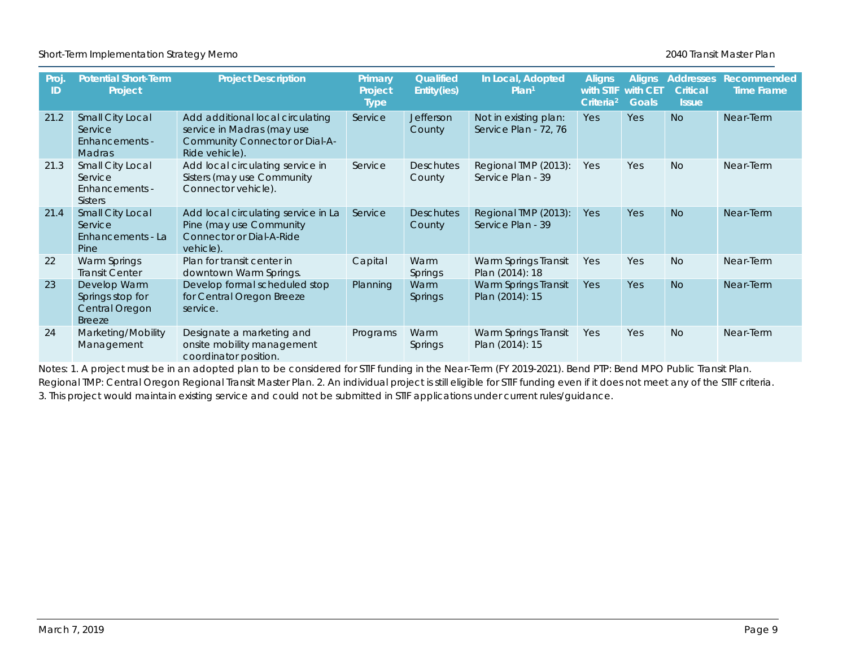Short-Term Implementation Strategy Memo **2016** New Short-Term Implementation Strategy Memo

| Proj.<br>ID | <b>Potential Short-Term</b><br>Project                              | <b>Project Description</b>                                                                                         | Primary<br>Project<br><b>Type</b> | Qualified<br>Entity(ies)   | In Local, Adopted<br>Plan <sup>1</sup>         | <b>Aligns</b><br><b>with STIF</b><br>Criteria <sup>2</sup> | <b>Aligns</b><br>with CET<br><b>Goals</b> | <b>Addresses</b><br><b>Critical</b><br><b>Issue</b> | Recommended<br><b>Time Frame</b> |
|-------------|---------------------------------------------------------------------|--------------------------------------------------------------------------------------------------------------------|-----------------------------------|----------------------------|------------------------------------------------|------------------------------------------------------------|-------------------------------------------|-----------------------------------------------------|----------------------------------|
| 21.2        | Small City Local<br>Service<br>Enhancements -<br><b>Madras</b>      | Add additional local circulating<br>service in Madras (may use<br>Community Connector or Dial-A-<br>Ride vehicle). | Service                           | <b>Jefferson</b><br>County | Not in existing plan:<br>Service Plan - 72, 76 | <b>Yes</b>                                                 | Yes                                       | <b>No</b>                                           | Near-Term                        |
| 21.3        | Small City Local<br>Service<br>Enhancements -<br><b>Sisters</b>     | Add local circulating service in<br>Sisters (may use Community<br>Connector vehicle).                              | Service                           | <b>Deschutes</b><br>County | Regional TMP (2013):<br>Service Plan - 39      | Yes                                                        | Yes                                       | <b>No</b>                                           | Near-Term                        |
| 21.4        | Small City Local<br>Service<br>Enhancements - La<br>Pine            | Add local circulating service in La<br>Pine (may use Community<br><b>Connector or Dial-A-Ride</b><br>vehicle).     | Service                           | <b>Deschutes</b><br>County | Regional TMP (2013):<br>Service Plan - 39      | Yes                                                        | <b>Yes</b>                                | <b>No</b>                                           | Near-Term                        |
| 22          | Warm Springs<br><b>Transit Center</b>                               | Plan for transit center in<br>downtown Warm Springs.                                                               | Capital                           | Warm<br><b>Springs</b>     | Warm Springs Transit<br>Plan (2014): 18        | Yes                                                        | Yes                                       | <b>No</b>                                           | Near-Term                        |
| 23          | Develop Warm<br>Springs stop for<br>Central Oregon<br><b>Breeze</b> | Develop formal scheduled stop<br>for Central Oregon Breeze<br>service.                                             | Planning                          | Warm<br>Springs            | Warm Springs Transit<br>Plan (2014): 15        | Yes                                                        | Yes                                       | <b>No</b>                                           | Near-Term                        |
| 24          | Marketing/Mobility<br>Management                                    | Designate a marketing and<br>onsite mobility management<br>coordinator position.                                   | Programs                          | Warm<br><b>Springs</b>     | Warm Springs Transit<br>Plan (2014): 15        | Yes                                                        | Yes                                       | <b>No</b>                                           | Near-Term                        |

Notes: 1. A project must be in an adopted plan to be considered for STIF funding in the Near-Term (FY 2019-2021). Bend PTP: Bend MPO Public Transit Plan. Regional TMP: Central Oregon Regional Transit Master Plan. 2. An individual project is still eligible for STIF funding even if it does not meet any of the STIF criteria. 3. This project would maintain existing service and could not be submitted in STIF applications under current rules/guidance.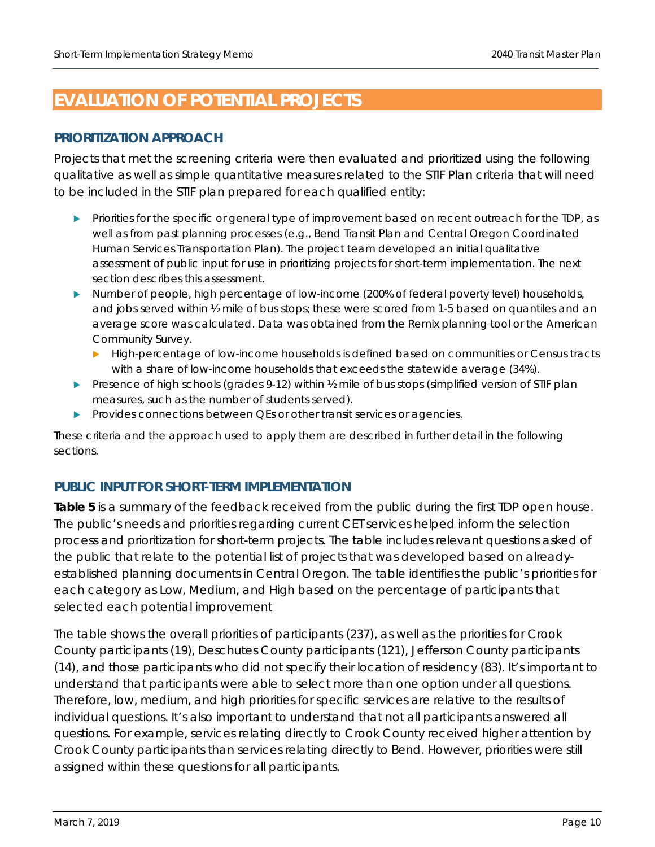## <span id="page-9-0"></span>**EVALUATION OF POTENTIAL PROJECTS**

#### **PRIORITIZATION APPROACH**

Projects that met the screening criteria were then evaluated and prioritized using the following qualitative as well as simple quantitative measures related to the STIF Plan criteria that will need to be included in the STIF plan prepared for each qualified entity:

- Priorities for the specific or general type of improvement based on recent outreach for the TDP, as well as from past planning processes (e.g., Bend Transit Plan and Central Oregon Coordinated Human Services Transportation Plan). The project team developed an initial qualitative assessment of public input for use in prioritizing projects for short-term implementation. The next section describes this assessment.
- Number of people, high percentage of low-income (200% of federal poverty level) households, and jobs served within  $\frac{1}{2}$  mile of bus stops; these were scored from 1-5 based on quantiles and an average score was calculated. Data was obtained from the Remix planning tool or the American Community Survey.
	- **High-percentage of low-income households is defined based on communities or Census tracts** with a share of low-income households that exceeds the statewide average (34%).
- Presence of high schools (grades 9-12) within 1/2 mile of bus stops (simplified version of STIF plan measures, such as the number of students served).
- Provides connections between QEs or other transit services or agencies.

These criteria and the approach used to apply them are described in further detail in the following sections.

### **PUBLIC INPUT FOR SHORT-TERM IMPLEMENTATION**

**[Table 5](#page-10-0)** is a summary of the feedback received from the public during the first TDP open house. The public's needs and priorities regarding current CET services helped inform the selection process and prioritization for short-term projects. The table includes relevant questions asked of the public that relate to the potential list of projects that was developed based on alreadyestablished planning documents in Central Oregon. The table identifies the public's priorities for each category as Low, Medium, and High based on the percentage of participants that selected each potential improvement

The table shows the overall priorities of participants (237), as well as the priorities for Crook County participants (19), Deschutes County participants (121), Jefferson County participants (14), and those participants who did not specify their location of residency (83). It's important to understand that participants were able to select more than one option under all questions. Therefore, low, medium, and high priorities for specific services are relative to the results of individual questions. It's also important to understand that not all participants answered all questions. For example, services relating directly to Crook County received higher attention by Crook County participants than services relating directly to Bend. However, priorities were still assigned within these questions for all participants.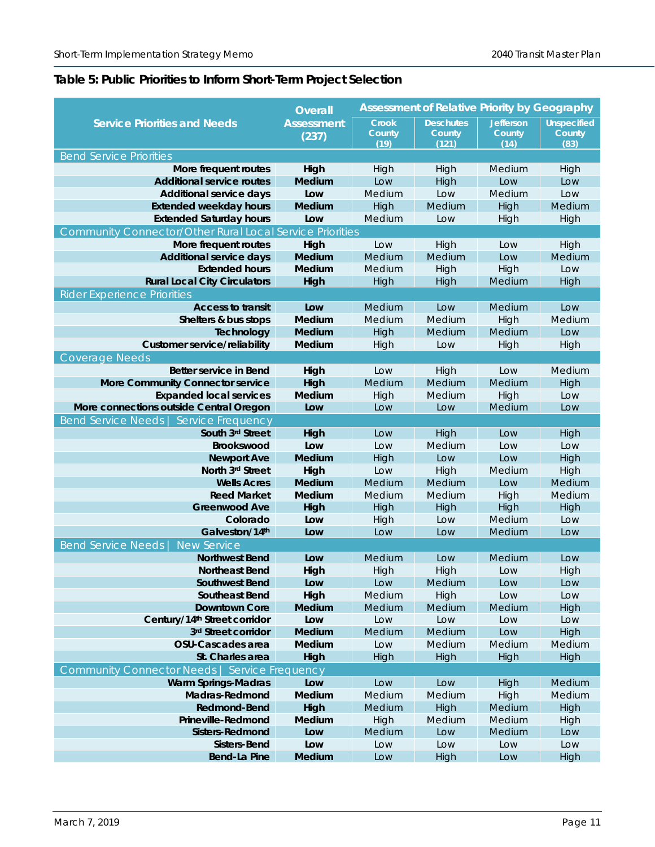### <span id="page-10-0"></span>**Table 5: Public Priorities to Inform Short-Term Project Selection**

|                                                                 | <b>Overall</b>    |                | <b>Assessment of Relative Priority by Geography</b> |                  |                    |
|-----------------------------------------------------------------|-------------------|----------------|-----------------------------------------------------|------------------|--------------------|
| <b>Service Priorities and Needs</b>                             | <b>Assessment</b> | Crook          | <b>Deschutes</b>                                    | <b>Jefferson</b> | <b>Unspecified</b> |
|                                                                 | (237)             | County<br>(19) | County<br>(121)                                     | County<br>(14)   | County<br>(83)     |
| <b>Bend Service Priorities</b>                                  |                   |                |                                                     |                  |                    |
| More frequent routes                                            | High              | High           | High                                                | Medium           | High               |
| <b>Additional service routes</b>                                | <b>Medium</b>     | Low            | High                                                | Low              | Low                |
| <b>Additional service days</b>                                  | Low               | Medium         | Low                                                 | Medium           | Low                |
| <b>Extended weekday hours</b>                                   | <b>Medium</b>     | High           | Medium                                              | High             | Medium             |
| <b>Extended Saturday hours</b>                                  | Low               | Medium         | Low                                                 | High             | High               |
| <b>Community Connector/Other Rural Local Service Priorities</b> |                   |                |                                                     |                  |                    |
| More frequent routes                                            | High              | Low            | High                                                | Low              | High               |
| <b>Additional service days</b>                                  | <b>Medium</b>     | Medium         | Medium                                              | Low              | Medium             |
| <b>Extended hours</b>                                           | Medium            | Medium         | High                                                | High             | Low                |
| <b>Rural Local City Circulators</b>                             | High              | High           | High                                                | Medium           | High               |
| <b>Rider Experience Priorities</b>                              |                   |                |                                                     |                  |                    |
| <b>Access to transit</b>                                        | Low               | Medium         | Low                                                 | Medium           | Low                |
| Shelters & bus stops                                            | Medium            | Medium         | Medium                                              | High             | Medium             |
| Technology                                                      | <b>Medium</b>     | High           | Medium                                              | Medium           | Low                |
| <b>Customer service/reliability</b>                             | Medium            | High           | Low                                                 | High             | High               |
| <b>Coverage Needs</b>                                           |                   |                |                                                     |                  |                    |
| Better service in Bend                                          | High              | Low            | High                                                | Low              | Medium             |
| <b>More Community Connector service</b>                         | High              | Medium         | <b>Medium</b>                                       | Medium           | High               |
| <b>Expanded local services</b>                                  | Medium            | High           | Medium                                              | High             | Low                |
| More connections outside Central Oregon                         | Low               | Low            | Low                                                 | Medium           | Low                |
| Bend Service Needs   Service Frequency                          |                   |                |                                                     |                  |                    |
| South 3rd Street                                                | High              | Low            | High                                                | Low              | High               |
| <b>Brookswood</b>                                               | Low               | Low            | Medium                                              | Low              | Low                |
| <b>Newport Ave</b>                                              | <b>Medium</b>     | High           | Low                                                 | Low              | High               |
| North 3rd Street                                                | High              | Low            | High                                                | Medium           | High               |
| <b>Wells Acres</b>                                              | <b>Medium</b>     | Medium         | Medium                                              | Low              | Medium             |
| <b>Reed Market</b>                                              | Medium            | Medium         | Medium                                              | High             | Medium             |
| <b>Greenwood Ave</b>                                            | High              | High           | High                                                | High             | High               |
| Colorado                                                        | Low               | High           | Low                                                 | Medium           | Low                |
| Galveston/14th                                                  | Low               | Low            | Low                                                 | Medium           | Low                |
| <b>Bend Service Needs</b><br><b>New Service</b>                 |                   |                |                                                     |                  |                    |
| <b>Northwest Bend</b>                                           | Low               | Medium         | Low                                                 | Medium           | Low                |
| <b>Northeast Bend</b>                                           | High              | High           | High                                                | Low              | High               |
| <b>Southwest Bend</b>                                           | Low               | Low            | Medium                                              | Low              | Low                |
| <b>Southeast Bend</b>                                           | High              | Medium         | High                                                | Low              | Low                |
| <b>Downtown Core</b>                                            | Medium            | Medium         | Medium                                              | Medium           | High               |
| Century/14th Street corridor                                    | Low               | Low            | Low                                                 | Low              | Low                |
| 3rd Street corridor                                             | Medium            | Medium         | Medium                                              | Low              | High               |
| OSU-Cascades area                                               | Medium            | Low            | Medium                                              | Medium           | Medium             |
| St. Charles area                                                | High              | High           | High                                                | High             | High               |
| Community Connector Needs   Service Frequency                   |                   |                |                                                     |                  |                    |
| <b>Warm Springs-Madras</b>                                      | Low               | Low            | Low                                                 | High             | Medium             |
| Madras-Redmond                                                  | Medium            | Medium         | Medium                                              | High             | Medium             |
| Redmond-Bend                                                    | High              | Medium         | High                                                | Medium           | High               |
| Prineville-Redmond<br><b>Sisters-Redmond</b>                    | Medium<br>Low     | High           | Medium                                              | Medium           | High               |
| Sisters-Bend                                                    | Low               | Medium<br>Low  | Low<br>Low                                          | Medium<br>Low    | Low<br>Low         |
| Bend-La Pine                                                    | Medium            | Low            | High                                                | Low              | High               |
|                                                                 |                   |                |                                                     |                  |                    |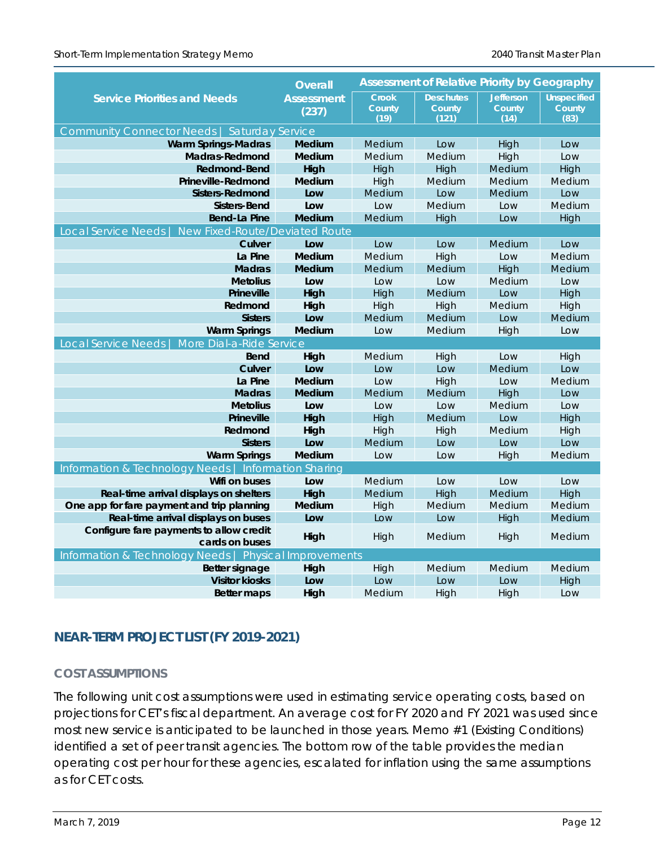|                                                                | <b>Assessment of Relative Priority by Geography</b><br><b>Overall</b> |               |                  |                  |                    |  |
|----------------------------------------------------------------|-----------------------------------------------------------------------|---------------|------------------|------------------|--------------------|--|
| <b>Service Priorities and Needs</b>                            | <b>Assessment</b>                                                     | <b>Crook</b>  | <b>Deschutes</b> | <b>Jefferson</b> | <b>Unspecified</b> |  |
|                                                                | (237)                                                                 | County        | County           | County           | County             |  |
|                                                                |                                                                       | (19)          | (121)            | (14)             | (83)               |  |
| Community Connector Needs   Saturday Service                   |                                                                       |               |                  |                  |                    |  |
| <b>Warm Springs-Madras</b>                                     | Medium                                                                | Medium        | Low              | High             | Low                |  |
| Madras-Redmond                                                 | Medium                                                                | Medium        | Medium           | High             | Low                |  |
| <b>Redmond-Bend</b>                                            | High                                                                  | High          | High             | Medium           | High               |  |
| Prineville-Redmond                                             | <b>Medium</b>                                                         | High          | Medium           | Medium           | Medium             |  |
| Sisters-Redmond                                                | Low                                                                   | Medium        | Low              | Medium           | Low                |  |
| Sisters-Bend                                                   | Low                                                                   | Low           | Medium           | Low              | Medium             |  |
| <b>Bend-La Pine</b>                                            | <b>Medium</b>                                                         | Medium        | High             | Low              | High               |  |
| New Fixed-Route/Deviated Route<br><b>Local Service Needs</b>   |                                                                       |               |                  |                  |                    |  |
| Culver                                                         | Low                                                                   | Low           | Low              | Medium           | Low                |  |
| La Pine                                                        | Medium                                                                | Medium        | High             | Low              | Medium             |  |
| <b>Madras</b>                                                  | <b>Medium</b>                                                         | Medium        | Medium           | High             | Medium             |  |
| <b>Metolius</b><br><b>Prineville</b>                           | Low                                                                   | Low           | Low<br>Medium    | Medium<br>Low    | Low                |  |
| Redmond                                                        | High                                                                  | High          |                  | Medium           | High               |  |
|                                                                | High<br>Low                                                           | High          | High             | Low              | High<br>Medium     |  |
| <b>Sisters</b>                                                 | Medium                                                                | Medium        | Medium           |                  |                    |  |
| <b>Warm Springs</b>                                            |                                                                       | Low           | Medium           | High             | Low                |  |
| Local Service Needs<br>More Dial-a-Ride Service<br><b>Bend</b> |                                                                       |               |                  |                  |                    |  |
| Culver                                                         | High<br>Low                                                           | Medium<br>Low | High<br>Low      | Low<br>Medium    | High<br>Low        |  |
| La Pine                                                        | <b>Medium</b>                                                         | Low           | High             | Low              | Medium             |  |
| <b>Madras</b>                                                  | <b>Medium</b>                                                         | Medium        | Medium           | High             | Low                |  |
| <b>Metolius</b>                                                | Low                                                                   | Low           | Low              | Medium           | Low                |  |
| <b>Prineville</b>                                              | High                                                                  | High          | Medium           | Low              | High               |  |
| Redmond                                                        | High                                                                  | High          | High             | Medium           | High               |  |
| <b>Sisters</b>                                                 | Low                                                                   | Medium        | Low              | Low              | Low                |  |
| <b>Warm Springs</b>                                            | <b>Medium</b>                                                         | Low           | Low              | High             | Medium             |  |
| Information & Technology Needs   Information Sharing           |                                                                       |               |                  |                  |                    |  |
| Wifi on buses                                                  | Low                                                                   | Medium        | Low              | Low              | Low                |  |
| Real-time arrival displays on shelters                         | High                                                                  | Medium        | High             | Medium           | High               |  |
| One app for fare payment and trip planning                     | <b>Medium</b>                                                         | High          | Medium           | Medium           | Medium             |  |
| Real-time arrival displays on buses                            | Low                                                                   | Low           | Low              | High             | Medium             |  |
| Configure fare payments to allow credit                        |                                                                       |               |                  |                  |                    |  |
| cards on buses                                                 | High                                                                  | High          | Medium           | High             | Medium             |  |
| Information & Technology Needs   Physical Improvements         |                                                                       |               |                  |                  |                    |  |
| Better signage                                                 | High                                                                  | High          | Medium           | Medium           | Medium             |  |
| <b>Visitor kiosks</b>                                          | Low                                                                   | Low           | Low              | Low              | High               |  |
| <b>Better maps</b>                                             | High                                                                  | Medium        | High             | High             | Low                |  |

### **NEAR-TERM PROJECT LIST (FY 2019-2021)**

#### **COST ASSUMPTIONS**

The following unit cost assumptions were used in estimating service operating costs, based on projections for CET's fiscal department. An average cost for FY 2020 and FY 2021 was used since most new service is anticipated to be launched in those years. Memo #1 (Existing Conditions) identified a set of peer transit agencies. The bottom row of the table provides the median operating cost per hour for these agencies, escalated for inflation using the same assumptions as for CET costs.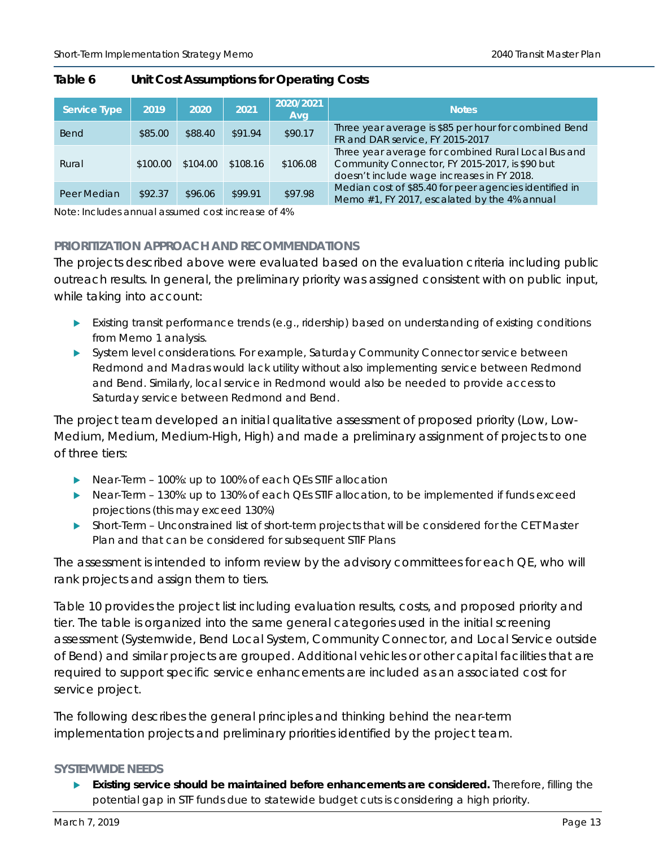| Service Type | 2019     | 2020     | 2021     | 2020/2021<br>Avg | <b>Notes</b>                                                                                                                                        |
|--------------|----------|----------|----------|------------------|-----------------------------------------------------------------------------------------------------------------------------------------------------|
| <b>Bend</b>  | \$85.00  | \$88.40  | \$91.94  | \$90.17          | Three year average is \$85 per hour for combined Bend<br>FR and DAR service, FY 2015-2017                                                           |
| Rural        | \$100.00 | \$104.00 | \$108.16 | \$106.08         | Three year average for combined Rural Local Bus and<br>Community Connector, FY 2015-2017, is \$90 but<br>doesn't include wage increases in FY 2018. |
| Peer Median  | \$92.37  | \$96.06  | \$99.91  | \$97.98          | Median cost of \$85.40 for peer agencies identified in<br>Memo #1, FY 2017, escalated by the 4% annual                                              |

#### **Table 6 Unit Cost Assumptions for Operating Costs**

Note: Includes annual assumed cost increase of 4%

#### **PRIORITIZATION APPROACH AND RECOMMENDATIONS**

The projects described above were evaluated based on the evaluation criteria including public outreach results. In general, the preliminary priority was assigned consistent with on public input, while taking into account:

- **Existing transit performance trends (e.g., ridership) based on understanding of existing conditions** from Memo 1 analysis.
- System level considerations. For example, Saturday Community Connector service between Redmond and Madras would lack utility without also implementing service between Redmond and Bend. Similarly, local service in Redmond would also be needed to provide access to Saturday service between Redmond and Bend.

The project team developed an initial qualitative assessment of proposed priority (Low, Low-Medium, Medium, Medium-High, High) and made a preliminary assignment of projects to one of three tiers:

- ▶ Near-Term 100%: up to 100% of each QEs STIF allocation
- ▶ Near-Term 130%: up to 130% of each QEs STIF allocation, to be implemented if funds exceed projections (this may exceed 130%)
- Short-Term Unconstrained list of short-term projects that will be considered for the CET Master Plan and that can be considered for subsequent STIF Plans

The assessment is intended to inform review by the advisory committees for each QE, who will rank projects and assign them to tiers.

[Table 10](#page-19-0) provides the project list including evaluation results, costs, and proposed priority and tier. The table is organized into the same general categories used in the initial screening assessment (Systemwide, Bend Local System, Community Connector, and Local Service outside of Bend) and similar projects are grouped. Additional vehicles or other capital facilities that are required to support specific service enhancements are included as an associated cost for service project.

The following describes the general principles and thinking behind the near-term implementation projects and preliminary priorities identified by the project team.

#### **SYSTEMWIDE NEEDS**

 **Existing service should be maintained before enhancements are considered.** Therefore, filling the potential gap in STF funds due to statewide budget cuts is considering a high priority.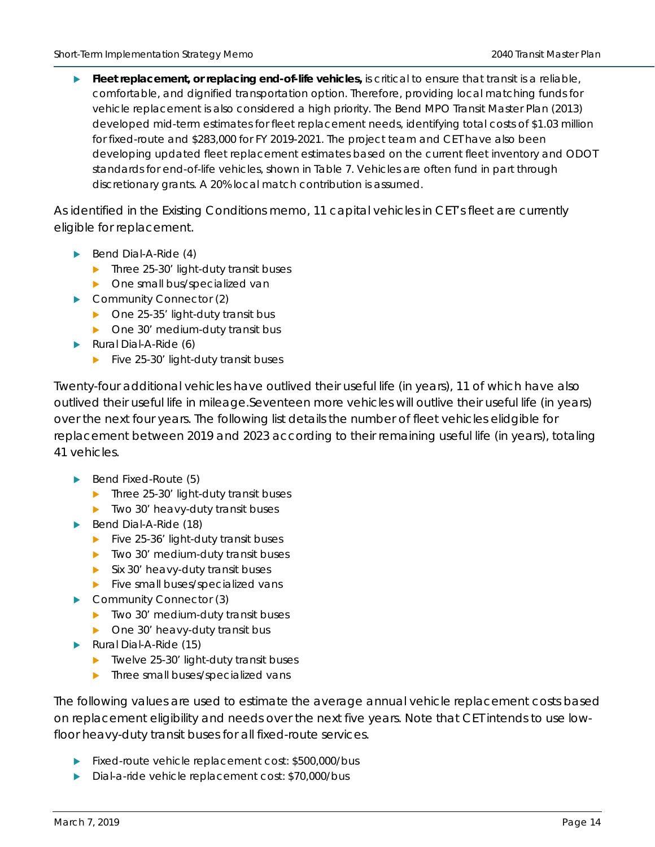**Fleet replacement, or replacing end-of-life vehicles,** is critical to ensure that transit is a reliable, comfortable, and dignified transportation option. Therefore, providing local matching funds for vehicle replacement is also considered a high priority. The Bend MPO Transit Master Plan (2013) developed mid-term estimates for fleet replacement needs, identifying total costs of \$1.03 million for fixed-route and \$283,000 for FY 2019-2021. The project team and CET have also been developing updated fleet replacement estimates based on the current fleet inventory and ODOT standards for end-of-life vehicles, shown in [Table 7.](#page-14-0) Vehicles are often fund in part through discretionary grants. A 20% local match contribution is assumed.

As identified in the Existing Conditions memo, 11 capital vehicles in CET's fleet are currently eligible for replacement.

- $\blacktriangleright$  Bend Dial-A-Ride (4)
	- Three 25-30' light-duty transit buses
	- ▶ One small bus/specialized van
- Community Connector (2)
	- $\triangleright$  One 25-35' light-duty transit bus
	- ▶ One 30' medium-duty transit bus
- Rural Dial-A-Ride (6)
	- $\blacktriangleright$  Five 25-30' light-duty transit buses

Twenty-four additional vehicles have outlived their useful life (in years), 11 of which have also outlived their useful life in mileage.Seventeen more vehicles will outlive their useful life (in years) over the next four years. The following list details the number of fleet vehicles elidgible for replacement between 2019 and 2023 according to their remaining useful life (in years), totaling 41 vehicles.

- $\blacktriangleright$  Bend Fixed-Route (5)
	- Three 25-30' light-duty transit buses
	- $\blacktriangleright$  Two 30' heavy-duty transit buses
- Bend Dial-A-Ride (18)
	- $\blacktriangleright$  Five 25-36' light-duty transit buses
	- $\blacktriangleright$  Two 30' medium-duty transit buses
	- $\blacktriangleright$  Six 30' heavy-duty transit buses
	- $\blacktriangleright$  Five small buses/specialized vans
- Community Connector (3)
	- $\blacktriangleright$  Two 30' medium-duty transit buses
	- ▶ One 30' heavy-duty transit bus
- Rural Dial-A-Ride (15)
	- ▶ Twelve 25-30' light-duty transit buses
	- **In** Three small buses/specialized vans

The following values are used to estimate the average annual vehicle replacement costs based on replacement eligibility and needs over the next five years. Note that CET intends to use lowfloor heavy-duty transit buses for all fixed-route services.

- Fixed-route vehicle replacement cost: \$500,000/bus
- Dial-a-ride vehicle replacement cost: \$70,000/bus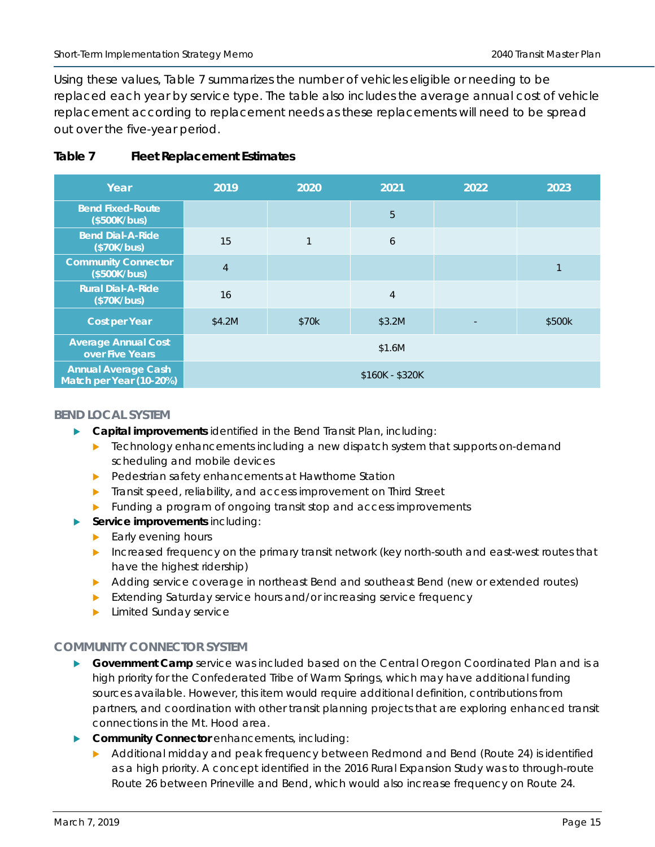Using these values, [Table 7](#page-14-0) summarizes the number of vehicles eligible or needing to be replaced each year by service type. The table also includes the average annual cost of vehicle replacement according to replacement needs as these replacements will need to be spread out over the five-year period.

#### <span id="page-14-0"></span>**Table 7 Fleet Replacement Estimates**

| Year                                                  | 2019           | 2020  | 2021            | 2022 | 2023   |
|-------------------------------------------------------|----------------|-------|-----------------|------|--------|
| <b>Bend Fixed-Route</b><br>(\$500K/bus)               |                |       | 5               |      |        |
| <b>Bend Dial-A-Ride</b><br>(\$70K/bus)                | 15             | 1     | 6               |      |        |
| <b>Community Connector</b><br>(\$500K/bus)            | $\overline{4}$ |       |                 |      |        |
| <b>Rural Dial-A-Ride</b><br>(\$70K/bus)               | 16             |       | $\overline{4}$  |      |        |
| <b>Cost per Year</b>                                  | \$4.2M         | \$70k | \$3.2M          |      | \$500k |
| <b>Average Annual Cost</b><br>over Five Years         |                |       | \$1.6M          |      |        |
| <b>Annual Average Cash</b><br>Match per Year (10-20%) |                |       | \$160K - \$320K |      |        |

#### **BEND LOCAL SYSTEM**

- **Capital improvements** identified in the Bend Transit Plan, including:
	- $\blacktriangleright$  Technology enhancements including a new dispatch system that supports on-demand scheduling and mobile devices
	- **Pedestrian safety enhancements at Hawthorne Station**
	- **Transit speed, reliability, and access improvement on Third Street**
	- **Funding a program of ongoing transit stop and access improvements**
- **Service improvements** including:
	- $\blacktriangleright$  Early evening hours
	- Increased frequency on the primary transit network (key north-south and east-west routes that have the highest ridership)
	- Adding service coverage in northeast Bend and southeast Bend (new or extended routes)
	- Extending Saturday service hours and/or increasing service frequency
	- **Limited Sunday service**

#### **COMMUNITY CONNECTOR SYSTEM**

- **Government Camp** service was included based on the Central Oregon Coordinated Plan and is a high priority for the Confederated Tribe of Warm Springs, which may have additional funding sources available. However, this item would require additional definition, contributions from partners, and coordination with other transit planning projects that are exploring enhanced transit connections in the Mt. Hood area.
- **Community Connector** enhancements, including:
	- ▶ Additional midday and peak frequency between Redmond and Bend (Route 24) is identified as a high priority. A concept identified in the 2016 Rural Expansion Study was to through-route Route 26 between Prineville and Bend, which would also increase frequency on Route 24.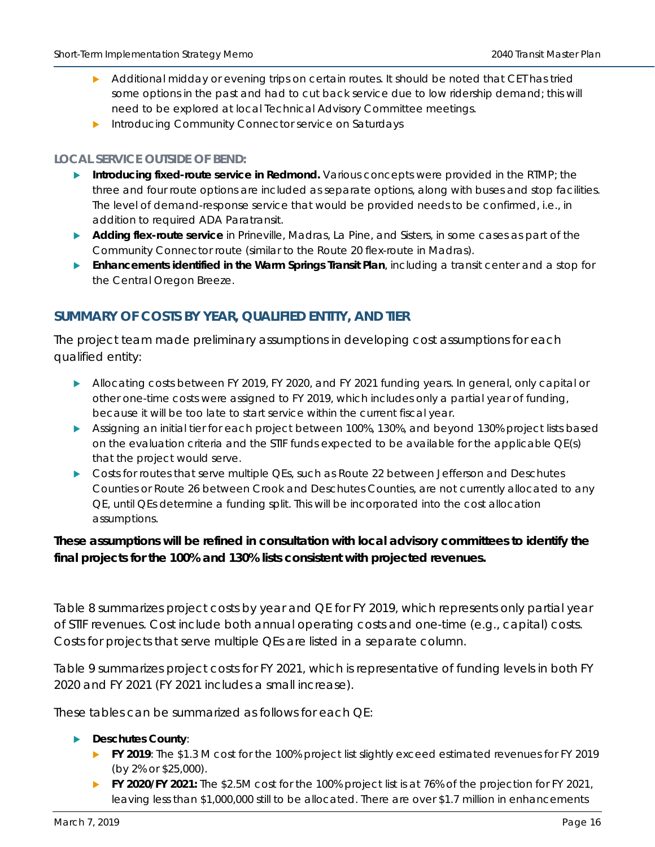- Additional midday or evening trips on certain routes. It should be noted that CET has tried some options in the past and had to cut back service due to low ridership demand; this will need to be explored at local Technical Advisory Committee meetings.
- Introducing Community Connector service on Saturdays

#### **LOCAL SERVICE OUTSIDE OF BEND:**

- **Introducing fixed-route service in Redmond.** Various concepts were provided in the RTMP; the three and four route options are included as separate options, along with buses and stop facilities. The level of demand-response service that would be provided needs to be confirmed, i.e., in addition to required ADA Paratransit.
- **Adding flex-route service** in Prineville, Madras, La Pine, and Sisters, in some cases as part of the Community Connector route (similar to the Route 20 flex-route in Madras).
- **Enhancements identified in the Warm Springs Transit Plan**, including a transit center and a stop for the Central Oregon Breeze.

### **SUMMARY OF COSTS BY YEAR, QUALIFIED ENTITY, AND TIER**

The project team made preliminary assumptions in developing cost assumptions for each qualified entity:

- Allocating costs between FY 2019, FY 2020, and FY 2021 funding years. In general, only capital or other one-time costs were assigned to FY 2019, which includes only a partial year of funding, because it will be too late to start service within the current fiscal year.
- Assigning an initial tier for each project between 100%, 130%, and beyond 130% project lists based on the evaluation criteria and the STIF funds expected to be available for the applicable QE(s) that the project would serve.
- Costs for routes that serve multiple QEs, such as Route 22 between Jefferson and Deschutes Counties or Route 26 between Crook and Deschutes Counties, are not currently allocated to any QE, until QEs determine a funding split. This will be incorporated into the cost allocation assumptions.

#### **These assumptions will be refined in consultation with local advisory committees to identify the final projects for the 100% and 130% lists consistent with projected revenues.**

[Table 8](#page-17-0) summarizes project costs by year and QE for FY 2019, which represents only partial year of STIF revenues. Cost include both annual operating costs and one-time (e.g., capital) costs. Costs for projects that serve multiple QEs are listed in a separate column.

[Table 9](#page-17-1) summarizes project costs for FY 2021, which is representative of funding levels in both FY 2020 and FY 2021 (FY 2021 includes a small increase).

These tables can be summarized as follows for each QE:

#### **Deschutes County**:

- **FY 2019**: The \$1.3 M cost for the 100% project list slightly exceed estimated revenues for FY 2019 (by 2% or \$25,000).
- **FY 2020/FY 2021:** The \$2.5M cost for the 100% project list is at 76% of the projection for FY 2021, leaving less than \$1,000,000 still to be allocated. There are over \$1.7 million in enhancements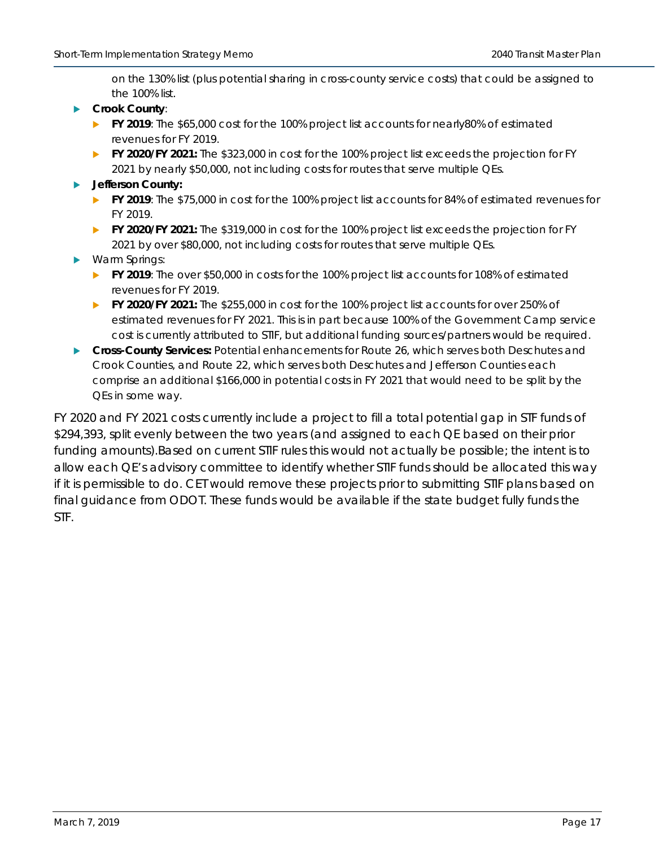on the 130% list (plus potential sharing in cross-county service costs) that could be assigned to the 100% list.

- **Crook County**:
	- **FY 2019**: The \$65,000 cost for the 100% project list accounts for nearly80% of estimated revenues for FY 2019.
	- **FY 2020/FY 2021:** The \$323,000 in cost for the 100% project list exceeds the projection for FY 2021 by nearly \$50,000, not including costs for routes that serve multiple QEs.
- **Jefferson County:** 
	- **FY 2019**: The \$75,000 in cost for the 100% project list accounts for 84% of estimated revenues for FY 2019.
	- **FY 2020/FY 2021:** The \$319,000 in cost for the 100% project list exceeds the projection for FY 2021 by over \$80,000, not including costs for routes that serve multiple QEs.
- Warm Springs:
	- **FY 2019**: The over \$50,000 in costs for the 100% project list accounts for 108% of estimated revenues for FY 2019.
	- **FY 2020/FY 2021:** The \$255,000 in cost for the 100% project list accounts for over 250% of estimated revenues for FY 2021. This is in part because 100% of the Government Camp service cost is currently attributed to STIF, but additional funding sources/partners would be required.
- **Cross-County Services:** Potential enhancements for Route 26, which serves both Deschutes and Crook Counties, and Route 22, which serves both Deschutes and Jefferson Counties each comprise an additional \$166,000 in potential costs in FY 2021 that would need to be split by the QEs in some way.

FY 2020 and FY 2021 costs currently include a project to fill a total potential gap in STF funds of \$294,393, split evenly between the two years (and assigned to each QE based on their prior funding amounts).Based on current STIF rules this would not actually be possible; the intent is to allow each QE's advisory committee to identify whether STIF funds *should* be allocated this way *if* it is permissible to do. CET would remove these projects prior to submitting STIF plans based on final guidance from ODOT. These funds would be available if the state budget fully funds the STF.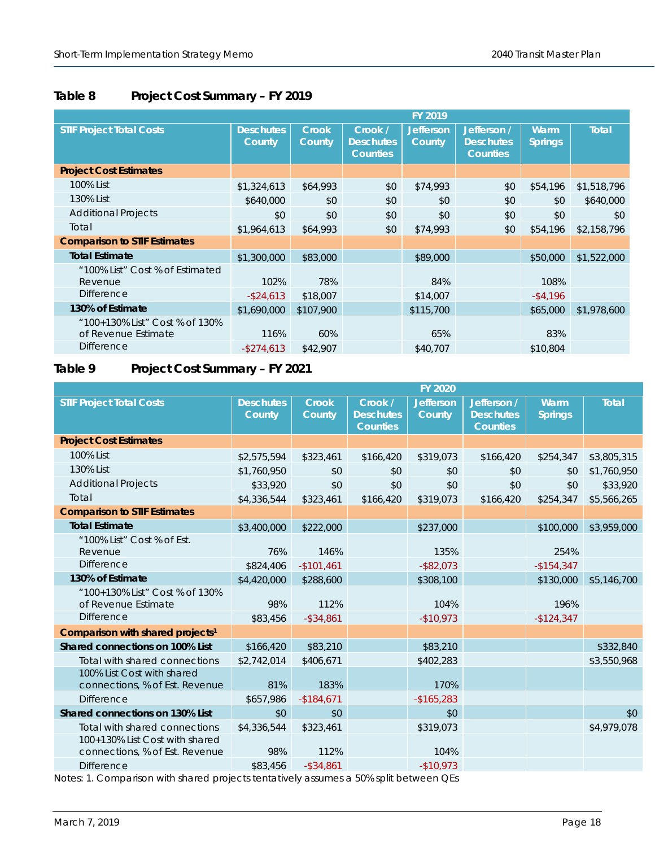### <span id="page-17-0"></span>**Table 8 Project Cost Summary – FY 2019**

|                                                       |                            |                        |                                                | <b>FY 2019</b>                    |                                                    |                        |              |
|-------------------------------------------------------|----------------------------|------------------------|------------------------------------------------|-----------------------------------|----------------------------------------------------|------------------------|--------------|
| <b>STIF Project Total Costs</b>                       | <b>Deschutes</b><br>County | <b>Crook</b><br>County | Crook /<br><b>Deschutes</b><br><b>Counties</b> | <b>Jefferson</b><br><b>County</b> | Jefferson /<br><b>Deschutes</b><br><b>Counties</b> | Warm<br><b>Springs</b> | <b>Total</b> |
| <b>Project Cost Estimates</b>                         |                            |                        |                                                |                                   |                                                    |                        |              |
| 100% List                                             | \$1,324,613                | \$64,993               | \$0                                            | \$74,993                          | \$0                                                | \$54,196               | \$1,518,796  |
| 130% List                                             | \$640,000                  | \$0                    | \$0                                            | \$0                               | \$0                                                | \$0                    | \$640,000    |
| <b>Additional Projects</b>                            | \$0                        | \$0                    | \$0                                            | \$0                               | \$0                                                | \$0                    | \$0          |
| Total                                                 | \$1,964,613                | \$64,993               | \$0                                            | \$74,993                          | \$0                                                | \$54,196               | \$2,158,796  |
| <b>Comparison to STIF Estimates</b>                   |                            |                        |                                                |                                   |                                                    |                        |              |
| <b>Total Estimate</b>                                 | \$1,300,000                | \$83,000               |                                                | \$89,000                          |                                                    | \$50,000               | \$1,522,000  |
| "100% List" Cost % of Estimated<br>Revenue            | 102%                       | 78%                    |                                                | 84%                               |                                                    | 108%                   |              |
| <b>Difference</b>                                     | $-$ \$24,613               | \$18,007               |                                                | \$14,007                          |                                                    | $-$ \$4,196            |              |
| 130% of Estimate                                      | \$1,690,000                | \$107,900              |                                                | \$115,700                         |                                                    | \$65,000               | \$1,978,600  |
| "100+130% List" Cost % of 130%<br>of Revenue Estimate | 116%                       | 60%                    |                                                | 65%                               |                                                    | 83%                    |              |
| <b>Difference</b>                                     | $-$ \$274,613              | \$42,907               |                                                | \$40,707                          |                                                    | \$10,804               |              |

### <span id="page-17-1"></span>**Table 9 Project Cost Summary – FY 2021**

|                                                                                                   |                            |                        |                                                | <b>FY 2020</b>             |                                                    |                        |              |
|---------------------------------------------------------------------------------------------------|----------------------------|------------------------|------------------------------------------------|----------------------------|----------------------------------------------------|------------------------|--------------|
| <b>STIF Project Total Costs</b>                                                                   | <b>Deschutes</b><br>County | <b>Crook</b><br>County | Crook /<br><b>Deschutes</b><br><b>Counties</b> | <b>Jefferson</b><br>County | Jefferson /<br><b>Deschutes</b><br><b>Counties</b> | Warm<br><b>Springs</b> | <b>Total</b> |
| <b>Project Cost Estimates</b>                                                                     |                            |                        |                                                |                            |                                                    |                        |              |
| 100% List                                                                                         | \$2,575,594                | \$323,461              | \$166,420                                      | \$319,073                  | \$166,420                                          | \$254,347              | \$3,805,315  |
| 130% List                                                                                         | \$1,760,950                | \$0                    | \$0                                            | \$0                        | \$0                                                | \$0                    | \$1,760,950  |
| <b>Additional Projects</b>                                                                        | \$33,920                   | \$0                    | \$0                                            | \$0                        | \$0                                                | \$0                    | \$33,920     |
| Total                                                                                             | \$4,336,544                | \$323,461              | \$166,420                                      | \$319,073                  | \$166,420                                          | \$254,347              | \$5,566,265  |
| <b>Comparison to STIF Estimates</b>                                                               |                            |                        |                                                |                            |                                                    |                        |              |
| <b>Total Estimate</b>                                                                             | \$3,400,000                | \$222,000              |                                                | \$237,000                  |                                                    | \$100,000              | \$3,959,000  |
| "100% List" Cost % of Est.<br>Revenue                                                             | 76%                        | 146%                   |                                                | 135%                       |                                                    | 254%                   |              |
| <b>Difference</b>                                                                                 | \$824,406                  | $-$101,461$            |                                                | $-$ \$82,073               |                                                    | $-$154,347$            |              |
| 130% of Estimate                                                                                  | \$4,420,000                | \$288,600              |                                                | \$308,100                  |                                                    | \$130,000              | \$5,146,700  |
| "100+130% List" Cost % of 130%<br>of Revenue Estimate                                             | 98%                        | 112%                   |                                                | 104%                       |                                                    | 196%                   |              |
| <b>Difference</b>                                                                                 | \$83,456                   | $-$ \$34,861           |                                                | $-$10,973$                 |                                                    | $-$124,347$            |              |
| Comparison with shared projects <sup>1</sup>                                                      |                            |                        |                                                |                            |                                                    |                        |              |
| Shared connections on 100% List                                                                   | \$166,420                  | \$83,210               |                                                | \$83,210                   |                                                    |                        | \$332,840    |
| Total with shared connections                                                                     | \$2,742,014                | \$406,671              |                                                | \$402,283                  |                                                    |                        | \$3,550,968  |
| 100% List Cost with shared<br>connections, % of Est. Revenue                                      | 81%                        | 183%                   |                                                | 170%                       |                                                    |                        |              |
| <b>Difference</b>                                                                                 | \$657,986                  | $-$184,671$            |                                                | $-$165,283$                |                                                    |                        |              |
| Shared connections on 130% List                                                                   | \$0                        | \$0                    |                                                | \$0                        |                                                    |                        | \$0          |
| Total with shared connections<br>100+130% List Cost with shared<br>connections, % of Est. Revenue | \$4,336,544<br>98%         | \$323,461<br>112%      |                                                | \$319,073<br>104%          |                                                    |                        | \$4,979,078  |
| <b>Difference</b>                                                                                 | \$83,456                   | $-$ \$34,861           |                                                | $-$10,973$                 |                                                    |                        |              |
|                                                                                                   |                            |                        |                                                |                            |                                                    |                        |              |

Notes: 1. Comparison with shared projects tentatively assumes a 50% split between QEs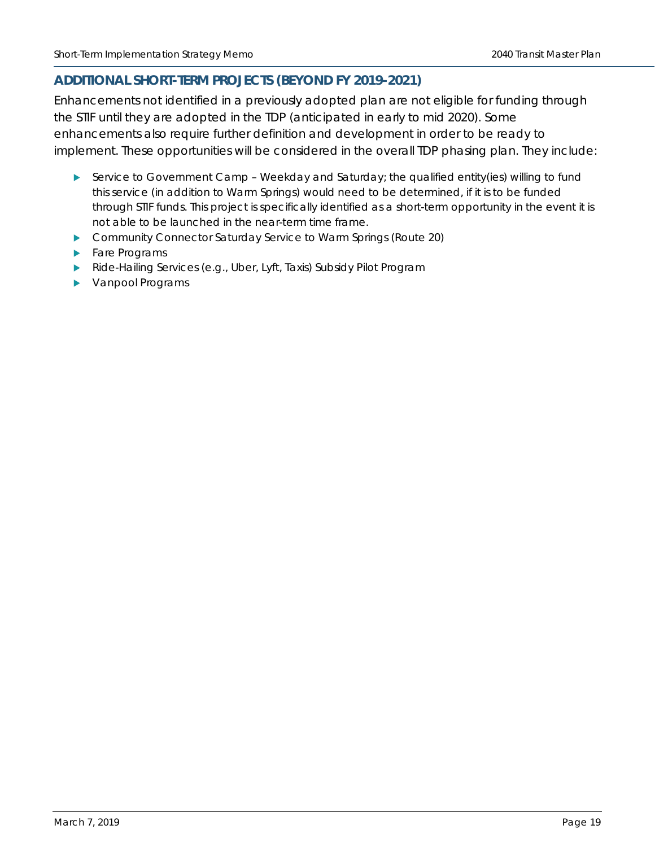#### **ADDITIONAL SHORT-TERM PROJECTS (BEYOND FY 2019-2021)**

Enhancements not identified in a previously adopted plan are not eligible for funding through the STIF until they are adopted in the TDP (anticipated in early to mid 2020). Some enhancements also require further definition and development in order to be ready to implement. These opportunities will be considered in the overall TDP phasing plan. They include:

- Service to Government Camp Weekday and Saturday; the qualified entity(ies) willing to fund this service (in addition to Warm Springs) would need to be determined, if it is to be funded through STIF funds. This project is specifically identified as a short-term opportunity in the event it is not able to be launched in the near-term time frame.
- ▶ Community Connector Saturday Service to Warm Springs (Route 20)
- Fare Programs
- Ride-Hailing Services (e.g., Uber, Lyft, Taxis) Subsidy Pilot Program
- **Vanpool Programs**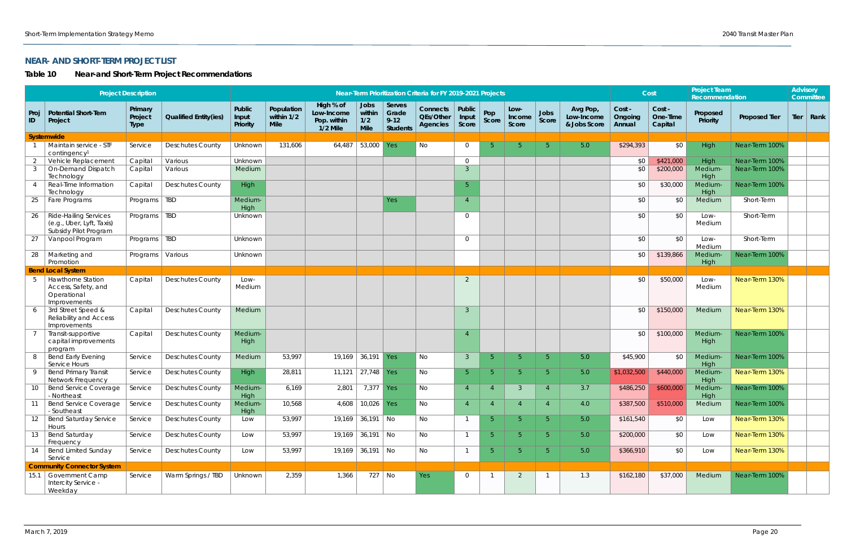### **NEAR- AND SHORT-TERM PROJECT LIST**

## <span id="page-19-0"></span>**Table 10 Near-and Short-Term Project Recommendations**

|            |                                                                                    | <b>Project Description</b>        |                              |                             |                                         |                                                      |                                      |                                                | Near-Term Prioritization Criteria for FY 2019-2021 Projects |                          |                |                         |                |                                        |                             | Cost                          | <b>Project Team</b><br>Recommendation |                      | <b>Advisory</b> | Committee   |
|------------|------------------------------------------------------------------------------------|-----------------------------------|------------------------------|-----------------------------|-----------------------------------------|------------------------------------------------------|--------------------------------------|------------------------------------------------|-------------------------------------------------------------|--------------------------|----------------|-------------------------|----------------|----------------------------------------|-----------------------------|-------------------------------|---------------------------------------|----------------------|-----------------|-------------|
| Proj<br>ID | Potential Short-Tem<br>Project                                                     | Primary<br>Project<br><b>Type</b> | <b>Qualified Entity(ies)</b> | Public<br>Input<br>Priority | Population<br>within 1/2<br><b>Mile</b> | High % of<br>Low-Income<br>Pop. within<br>$1/2$ Mile | Jobs<br>within<br>1/2<br><b>Mile</b> | Serves<br>Grade<br>$9 - 12$<br><b>Students</b> | Connects<br>QEs/Other<br><b>Agencies</b>                    | Public<br>Input<br>Score | Pop<br>Score   | Low-<br>Income<br>Score | Jobs<br>Score  | Avg Pop,<br>Low-Income<br>& Jobs Score | Cost -<br>Ongoing<br>Annual | Cost -<br>One-Time<br>Capital | Proposed<br>Priority                  | <b>Proposed Tier</b> |                 | Tier   Rank |
|            | Systemwide                                                                         |                                   |                              |                             |                                         |                                                      |                                      |                                                |                                                             |                          |                |                         |                |                                        |                             |                               |                                       |                      |                 |             |
|            | Maintain service - STF<br>contingency <sup>1</sup>                                 | Service                           | <b>Deschutes County</b>      | Unknown                     | 131,606                                 | 64,487                                               | 53,000                               | Yes                                            | No                                                          | $\overline{0}$           | -5.            | 5 <sup>1</sup>          | $5^{\circ}$    | 5.0                                    | \$294,393                   | \$0                           | High                                  | Near-Term 100%       |                 |             |
| -2         | Vehicle Replacement                                                                | Capital                           | Various                      | Unknown                     |                                         |                                                      |                                      |                                                |                                                             | $\overline{0}$           |                |                         |                |                                        | \$0                         | \$421,000                     | High                                  | Near-Term 100%       |                 |             |
| - 3        | On-Demand Dispatch<br>Technology                                                   | Capital                           | Various                      | Medium                      |                                         |                                                      |                                      |                                                |                                                             | $\mathcal{S}$            |                |                         |                |                                        | \$0                         | \$200,000                     | <b>Medium</b><br>High                 | Near-Term 100%       |                 |             |
|            | Real-Time Information<br>Technology                                                | Capital                           | <b>Deschutes County</b>      | High                        |                                         |                                                      |                                      |                                                |                                                             | 5 <sup>5</sup>           |                |                         |                |                                        | \$0                         | \$30,000                      | <b>Medium</b><br>High                 | Near-Term 100%       |                 |             |
| 25         | Fare Programs                                                                      | Programs                          | <b>TBD</b>                   | Medium-<br>High             |                                         |                                                      |                                      | Yes                                            |                                                             | $\overline{4}$           |                |                         |                |                                        | \$0                         | \$0                           | Medium                                | Short-Term           |                 |             |
| 26         | <b>Ride-Hailing Services</b><br>(e.g., Uber, Lyft, Taxis)<br>Subsidy Pilot Program | Programs   TBD                    |                              | Unknown                     |                                         |                                                      |                                      |                                                |                                                             | $\overline{0}$           |                |                         |                |                                        | \$0                         | \$0                           | Low-<br>Medium                        | Short-Term           |                 |             |
| 27         | Vanpool Program                                                                    | Programs                          | <b>TBD</b>                   | Unknown                     |                                         |                                                      |                                      |                                                |                                                             | $\overline{0}$           |                |                         |                |                                        | \$0                         | \$0                           | Low-<br>Medium                        | Short-Term           |                 |             |
| 28         | Marketing and<br>Promotion                                                         | Programs                          | Various                      | Unknown                     |                                         |                                                      |                                      |                                                |                                                             |                          |                |                         |                |                                        | \$0                         | \$139,866                     | <b>Medium</b><br>High                 | Near-Term 100%       |                 |             |
|            | <b>Bend Local System</b>                                                           |                                   |                              |                             |                                         |                                                      |                                      |                                                |                                                             |                          |                |                         |                |                                        |                             |                               |                                       |                      |                 |             |
| -5         | <b>Hawthorne Station</b><br>Access, Safety, and<br>Operational<br>Improvements     | Capital                           | <b>Deschutes County</b>      | Low-<br>Medium              |                                         |                                                      |                                      |                                                |                                                             | 2                        |                |                         |                |                                        | \$0                         | \$50,000                      | Low-<br>Medium                        | Near-Term 130%       |                 |             |
|            | 3rd Street Speed &<br>Reliability and Access<br>Improvements                       | Capital                           | <b>Deschutes County</b>      | Medium                      |                                         |                                                      |                                      |                                                |                                                             | $\overline{3}$           |                |                         |                |                                        | \$0                         | \$150,000                     | Medium                                | Near-Term 130%       |                 |             |
|            | Transit-supportive<br>capital improvements<br>program                              | Capital                           | <b>Deschutes County</b>      | Medium-<br>High             |                                         |                                                      |                                      |                                                |                                                             |                          |                |                         |                |                                        | \$0                         | \$100,000                     | Medium-<br>High                       | Near-Term 100%       |                 |             |
|            | <b>Bend Early Evening</b><br>Service Hours                                         | Service                           | <b>Deschutes County</b>      | Medium                      | 53,997                                  | 19,169                                               | 36,191                               | Yes                                            | No                                                          | $\mathbf{3}$             | -5.            | 5 <sup>1</sup>          | $5^{\circ}$    | 5.0                                    | \$45,900                    | \$0                           | <b>Medium</b><br>High                 | Near-Term 100%       |                 |             |
|            | <b>Bend Primary Transit</b><br>Network Frequency                                   | Service                           | <b>Deschutes County</b>      | <b>High</b>                 | 28,811                                  | 11,121                                               | $27,748$ Yes                         |                                                | No                                                          | 5 <sup>1</sup>           | -5             | 5.                      | $5^{\circ}$    | 5.0                                    | \$1,032,500                 | \$440,000                     | Medium-<br>High                       | Near-Term 130%       |                 |             |
| 10         | <b>Bend Service Coverage</b><br>- Northeast                                        | Service                           | <b>Deschutes County</b>      | Medium-<br><b>High</b>      | 6,169                                   | 2,801                                                | 7,377 Yes                            |                                                | No                                                          |                          | $\overline{4}$ | 3                       |                | 3.7                                    | \$486,250                   | \$600,000                     | Medium-<br>High                       | Near-Term 100%       |                 |             |
| 11         | <b>Bend Service Coverage</b><br>- Southeast                                        | Service                           | <b>Deschutes County</b>      | Medium-<br>High             | 10,568                                  | 4,608                                                | 10,026 Yes                           |                                                | No                                                          |                          |                |                         |                | 4.0                                    | \$387,500                   | \$510,000                     | Medium                                | Near-Term 100%       |                 |             |
| 12         | Bend Saturday Service<br>Hours                                                     | Service                           | <b>Deschutes County</b>      | Low                         | 53,997                                  |                                                      | $19,169$ 36,191   No                 |                                                | No                                                          | $\overline{1}$           | -5.            | 5 <sup>1</sup>          | $5^{\circ}$    | 5.0                                    | \$161,540                   | \$0                           | Low                                   | Near-Term 130%       |                 |             |
| 13         | Bend Saturday<br>Frequency                                                         | Service                           | <b>Deschutes County</b>      | Low                         | 53,997                                  |                                                      | $19,169$ 36,191   No                 |                                                | <b>No</b>                                                   |                          | 5 <sup>°</sup> | 5 <sup>1</sup>          | 5 <sup>5</sup> | 5.0                                    | \$200,000                   | \$0                           | Low                                   | Near-Term 130%       |                 |             |
| 14         | Bend Limited Sunday<br>Service                                                     | Service                           | <b>Deschutes County</b>      | Low                         | 53,997                                  |                                                      | $19,169$ 36,191 No                   |                                                | <b>No</b>                                                   | $\mathbf{1}$             | 5 <sup>°</sup> | 5 <sup>1</sup>          | 5 <sub>o</sub> | 5.0                                    | \$366,910                   | \$0                           | Low                                   | Near-Term 130%       |                 |             |
|            | <b>Community Connector System</b>                                                  |                                   |                              |                             |                                         |                                                      |                                      |                                                |                                                             |                          |                |                         |                |                                        |                             |                               |                                       |                      |                 |             |
|            | 15.1 Government Camp<br>Intercity Service -<br>Weekday                             | Service                           | Warm Springs / TBD           | Unknown                     | 2,359                                   | 1,366                                                | 727   No                             |                                                | <b>Yes</b>                                                  | $\overline{0}$           | -1             | $\overline{2}$          | $\overline{1}$ | 1.3                                    | \$162,180                   | \$37,000                      | Medium                                | Near-Term 100%       |                 |             |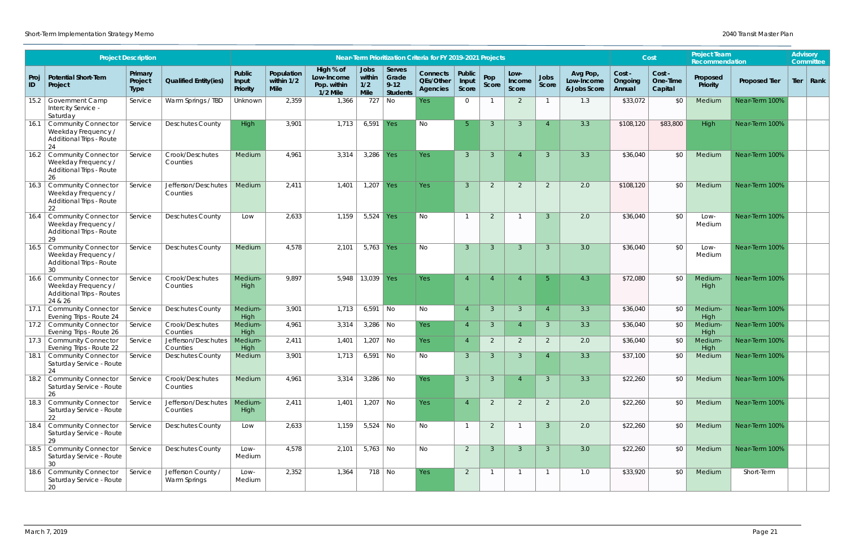|            |                                                                                                | <b>Project Description</b>        |                                    |                             |                                  |                                                      |                                             |                                                | Near-Term Prioritization Criteria for FY 2019-2021 Projects |                          |                |                         |                |                                        |                             | Cost                          | <b>Project Team</b><br>Recommendation |                      | <b>Advisory</b><br>Committee |
|------------|------------------------------------------------------------------------------------------------|-----------------------------------|------------------------------------|-----------------------------|----------------------------------|------------------------------------------------------|---------------------------------------------|------------------------------------------------|-------------------------------------------------------------|--------------------------|----------------|-------------------------|----------------|----------------------------------------|-----------------------------|-------------------------------|---------------------------------------|----------------------|------------------------------|
| Proj<br>ID | <b>Potential Short-Tem</b><br>Project                                                          | Primary<br>Project<br><b>Type</b> | <b>Qualified Entity(ies)</b>       | Public<br>Input<br>Priority | Population<br>within 1/2<br>Mile | High % of<br>Low-Income<br>Pop. within<br>$1/2$ Mile | <b>Jobs</b><br>within<br>1/2<br><b>Mile</b> | Serves<br>Grade<br>$9 - 12$<br><b>Students</b> | <b>Connects</b><br>QEs/Other<br><b>Agencies</b>             | Public<br>Input<br>Score | Pop<br>Score   | Low-<br>Income<br>Score | Jobs<br>Score  | Avg Pop,<br>Low-Income<br>& Jobs Score | Cost -<br>Ongoing<br>Annual | Cost -<br>One-Time<br>Capital | Proposed<br>Priority                  | <b>Proposed Tier</b> | Tier   Rank                  |
|            | 15.2 Government Camp<br>Intercity Service -<br>Saturday                                        | Service                           | Warm Springs / TBD                 | Unknown                     | 2,359                            | 1,366                                                | 727                                         | No                                             | Yes                                                         | $\Omega$                 |                | 2                       |                | 1.3                                    | \$33,072                    | \$0                           | Medium                                | Near-Term 100%       |                              |
|            | 16.1 Community Connector<br>Weekday Frequency /<br><b>Additional Trips - Route</b><br>24       | Service                           | <b>Deschutes County</b>            | High                        | 3,901                            | 1,713                                                | $6,591$ Yes                                 |                                                | No                                                          | 5 <sup>1</sup>           | -3             | 3                       |                | 3.3                                    | \$108,120                   | \$83,800                      | High                                  | Near-Term 100%       |                              |
|            | 16.2 Community Connector<br>Weekday Frequency /<br>Additional Trips - Route<br>26              | Service                           | Crook/Deschutes<br>Counties        | Medium                      | 4,961                            | 3,314                                                | $3,286$ Yes                                 |                                                | Yes                                                         | $\overline{3}$           | $\overline{3}$ | $\overline{4}$          | $\overline{3}$ | 3.3                                    | \$36,040                    | \$0                           | Medium                                | Near-Term 100%       |                              |
|            | 16.3   Community Connector<br>Weekday Frequency /<br>Additional Trips - Route<br>22            | Service                           | Jefferson/Deschutes<br>Counties    | Medium                      | 2,411                            | 1,401                                                | 1,207 Yes                                   |                                                | <b>Yes</b>                                                  | $\mathbf{3}$             | 2              | 2                       | 2              | 2.0                                    | \$108,120                   | \$0                           | Medium                                | Near-Term 100%       |                              |
|            | 16.4 Community Connector<br>Weekday Frequency /<br><b>Additional Trips - Route</b><br>29       | Service                           | <b>Deschutes County</b>            | Low                         | 2,633                            | 1,159                                                | $5,524$ Yes                                 |                                                | No                                                          |                          | 2              |                         | $\overline{3}$ | 2.0                                    | \$36,040                    | \$0                           | Low-<br>Medium                        | Near-Term 100%       |                              |
| 16.5       | <b>Community Connector</b><br>Weekday Frequency /<br>Additional Trips - Route<br>30            | Service                           | <b>Deschutes County</b>            | Medium                      | 4,578                            | 2,101                                                | 5,763 Yes                                   |                                                | No                                                          | 3                        | 3              | 3                       | 3              | 3.0                                    | \$36,040                    | \$0                           | Low-<br>Medium                        | Near-Term 100%       |                              |
|            | 16.6 Community Connector<br>Weekday Frequency /<br><b>Additional Trips - Routes</b><br>24 & 26 | Service                           | Crook/Deschutes<br>Counties        | <b>Medium</b><br>High       | 9,897                            | 5,948                                                | 13,039 Yes                                  |                                                | <b>Yes</b>                                                  |                          |                |                         | -5             | 4.3                                    | \$72,080                    | \$0                           | Medium<br>High                        | Near-Term 100%       |                              |
| 17.1       | Community Connector<br>Evening Trips - Route 24                                                | Service                           | <b>Deschutes County</b>            | <b>Medium</b><br>High       | 3,901                            | 1,713                                                | $6,591$ No                                  |                                                | No                                                          |                          | $\overline{3}$ | 3                       |                | 3.3                                    | \$36,040                    | \$0                           | Medium-<br>High                       | Near-Term 100%       |                              |
|            | 17.2 Community Connector<br>Evening Trips - Route 26                                           | Service                           | Crook/Deschutes<br>Counties        | Medium-<br>High             | 4,961                            | 3,314                                                | $3,286$ No                                  |                                                | Yes                                                         | $\overline{4}$           | $\overline{3}$ | $\overline{4}$          | $\mathbf{3}$   | 3.3                                    | \$36,040                    | \$0                           | Medium<br>High                        | Near-Term 100%       |                              |
|            | 17.3 Community Connector<br>Evening Trips - Route 22                                           | Service                           | Jefferson/Deschutes<br>Counties    | Medium-<br>High             | 2,411                            | 1,401                                                | $1,207$ No                                  |                                                | Yes                                                         |                          | 2              | $\mathcal{P}$           | 2              | 2.0                                    | \$36,040                    | \$0                           | Medium<br>High                        | Near-Term 100%       |                              |
|            | 18.1 Community Connector<br>Saturday Service - Route<br>24                                     | Service                           | <b>Deschutes County</b>            | Medium                      | 3,901                            | 1,713                                                | $6,591$ No                                  |                                                | No                                                          | $\mathcal{R}$            | $\mathcal{R}$  | $\mathcal{S}$           |                | 3.3                                    | \$37,100                    | \$0                           | Medium                                | Near-Term 100%       |                              |
|            | 18.2   Community Connector<br>Saturday Service - Route<br>26                                   | Service                           | Crook/Deschutes<br>Counties        | Medium                      | 4,961                            | 3,314                                                | $3,286$ No                                  |                                                | Yes                                                         | $\mathbf{3}$             | $\overline{3}$ | $\overline{4}$          | $\overline{3}$ | 3.3                                    | \$22,260                    | \$0                           | Medium                                | Near-Term 100%       |                              |
|            | 18.3   Community Connector<br>Saturday Service - Route<br>22                                   | Service                           | Jefferson/Deschutes<br>Counties    | Medium-<br>High             | 2,411                            | 1,401                                                | $1,207$ No                                  |                                                | Yes                                                         |                          | 2              | $\overline{2}$          | $\overline{2}$ | 2.0                                    | \$22,260                    | \$0                           | Medium                                | Near-Term 100%       |                              |
|            | 18.4   Community Connector<br>Saturday Service - Route<br>29                                   | Service                           | <b>Deschutes County</b>            | Low                         | 2,633                            | 1,159                                                | $5,524$ No                                  |                                                | No                                                          |                          | $\overline{2}$ |                         | $\mathbf{3}$   | 2.0                                    | \$22,260                    | \$0                           | Medium                                | Near-Term 100%       |                              |
|            | 18.5   Community Connector<br>Saturday Service - Route<br>30                                   | Service                           | <b>Deschutes County</b>            | Low-<br>Medium              | 4,578                            | 2,101                                                | $5,763$ No                                  |                                                | No                                                          | $\overline{2}$           | $\overline{3}$ | $\mathbf{3}$            | $\overline{3}$ | 3.0                                    | \$22,260                    | \$0                           | Medium                                | Near-Term 100%       |                              |
|            | 18.6   Community Connector<br>Saturday Service - Route<br>20                                   | Service                           | Jefferson County /<br>Warm Springs | Low-<br>Medium              | 2,352                            | 1,364                                                | $718$ No                                    |                                                | Yes                                                         | $\overline{2}$           | $\overline{1}$ | $\overline{1}$          | $\overline{1}$ | 1.0                                    | \$33,920                    | \$0                           | Medium                                | Short-Term           |                              |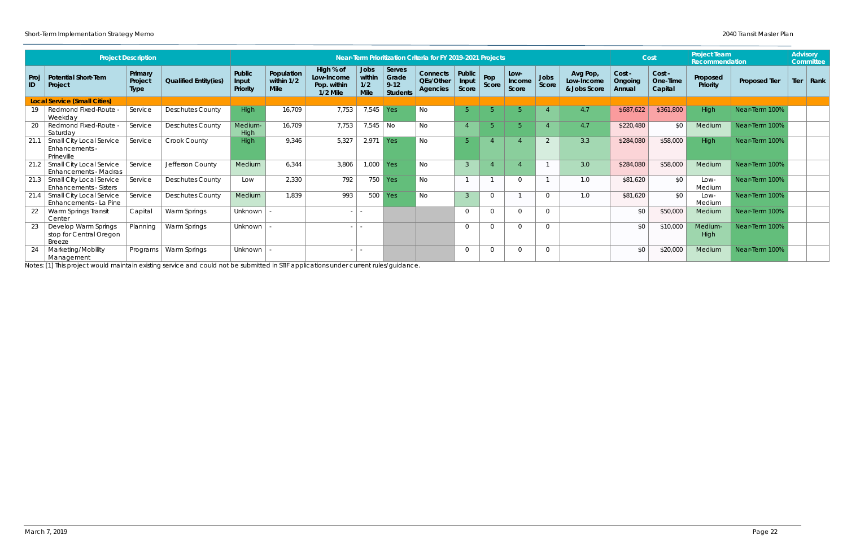|            |                                                                 |                                   |                              |                             |                                           |                                                      |                                      |                                                |                                                             |                          |                |                         |               |                                        |                             |                               | <b>Project Team</b>  |                      | <b>Advisory</b> |                  |
|------------|-----------------------------------------------------------------|-----------------------------------|------------------------------|-----------------------------|-------------------------------------------|------------------------------------------------------|--------------------------------------|------------------------------------------------|-------------------------------------------------------------|--------------------------|----------------|-------------------------|---------------|----------------------------------------|-----------------------------|-------------------------------|----------------------|----------------------|-----------------|------------------|
|            |                                                                 | <b>Project Description</b>        |                              |                             |                                           |                                                      |                                      |                                                | Near-Term Prioritization Criteria for FY 2019-2021 Projects |                          |                |                         |               |                                        |                             | Cost                          | Recommendation       |                      |                 | <b>Committee</b> |
| Proj<br>ID | <b>Potential Short-Tem</b><br>Project                           | Primary<br>Project<br><b>Type</b> | <b>Qualified Entity(ies)</b> | Public<br>Input<br>Priority | Population<br>within $1/2$<br><b>Mile</b> | High % of<br>Low-Income<br>Pop. within<br>$1/2$ Mile | Jobs<br>within<br>1/2<br><b>Mile</b> | Serves<br>Grade<br>$9 - 12$<br><b>Students</b> | <b>Connects</b><br>QEs/Other<br>Agencies                    | Public<br>Input<br>Score | Pop<br>Score   | Low-<br>Income<br>Score | Jobs<br>Score | Avg Pop,<br>Low-Income<br>& Jobs Score | Cost -<br>Ongoing<br>Annual | Cost -<br>One-Time<br>Capital | Proposed<br>Priority | <b>Proposed Tier</b> |                 | Tier   Rank      |
|            | <b>Local Service (Small Cities)</b>                             |                                   |                              |                             |                                           |                                                      |                                      |                                                |                                                             |                          |                |                         |               |                                        |                             |                               |                      |                      |                 |                  |
| 19         | Redmond Fixed-Route -<br>Weekday                                | Service                           | <b>Deschutes County</b>      | High                        | 16,709                                    | 7,753                                                | 7,545 Yes                            |                                                | No                                                          | -5                       | 片              | 5.                      |               | 4.7                                    | \$687,622                   | \$361,800                     | High                 | Near-Term 100%       |                 |                  |
| 20         | Redmond Fixed-Route -<br>Saturday                               | Service                           | <b>Deschutes County</b>      | Medium-<br>High             | 16,709                                    | 7,753                                                | 7,545   No                           |                                                | No.                                                         |                          | $\overline{5}$ | 5.                      |               | 4.7                                    | \$220,480                   | \$0                           | Medium               | Near-Term 100%       |                 |                  |
| 21.1       | <b>Small City Local Service</b><br>Enhancements -<br>Prineville | Service                           | Crook County                 | High                        | 9,346                                     | 5,327                                                | 2,971                                | Yes                                            | No                                                          | -5                       |                |                         | 2             | 3.3                                    | \$284,080                   | \$58,000                      | High                 | Near-Term 100%       |                 |                  |
| 21.2       | Small City Local Service<br><b>Enhancements - Madras</b>        | Service                           | Jefferson County             | Medium                      | 6,344                                     | 3,806                                                | 1,000                                | Yes                                            | No                                                          | $\mathcal{R}$            |                |                         |               | 3.0                                    | \$284,080                   | \$58,000                      | Medium               | Near-Term 100%       |                 |                  |
|            | 21.3   Small City Local Service<br>Enhancements - Sisters       | Service                           | <b>Deschutes County</b>      | Low                         | 2,330                                     | 792                                                  | 750                                  | Yes                                            | No                                                          |                          |                | $\Omega$                |               | 1.0                                    | \$81,620                    | \$0                           | Low-<br>Medium       | Near-Term 100%       |                 |                  |
|            | 21.4 Small City Local Service<br>Enhancements - La Pine         | Service                           | <b>Deschutes County</b>      | Medium                      | 1,839                                     | 993                                                  |                                      | $500$ Yes                                      | <b>No</b>                                                   | $\mathcal{R}$            | $\Omega$       |                         | $\Omega$      | 1.0                                    | \$81,620                    | \$0                           | Low-<br>Medium       | Near-Term 100%       |                 |                  |
| -22        | Warm Springs Transit<br>Center                                  | Capital                           | Warm Springs                 | Unknown                     |                                           |                                                      | $\sim$                               |                                                |                                                             | $\Omega$                 | $\overline{0}$ | $\Omega$                | $\Omega$      |                                        | \$0                         | \$50,000                      | Medium               | Near-Term 100%       |                 |                  |
| -23        | Develop Warm Springs<br>stop for Central Oregon<br>Breeze       | Planning                          | Warm Springs                 | Unknown                     |                                           |                                                      | $\sim$                               |                                                |                                                             | $\Omega$                 | $\Omega$       | $\Omega$                | $\Omega$      |                                        | \$0                         | \$10,000                      | Medium-<br>High      | Near-Term 100%       |                 |                  |
|            | Marketing/Mobility<br>Management                                | Programs                          | Warm Springs                 | Unknown                     |                                           |                                                      | $\sim$                               |                                                |                                                             | $\Omega$                 | $\overline{0}$ | $\Omega$                | $\Omega$      |                                        | \$0                         | \$20,000                      | Medium               | Near-Term 100%       |                 |                  |

Notes: [1] This project would maintain existing service and could not be submitted in STIF applications under current rules/guidance.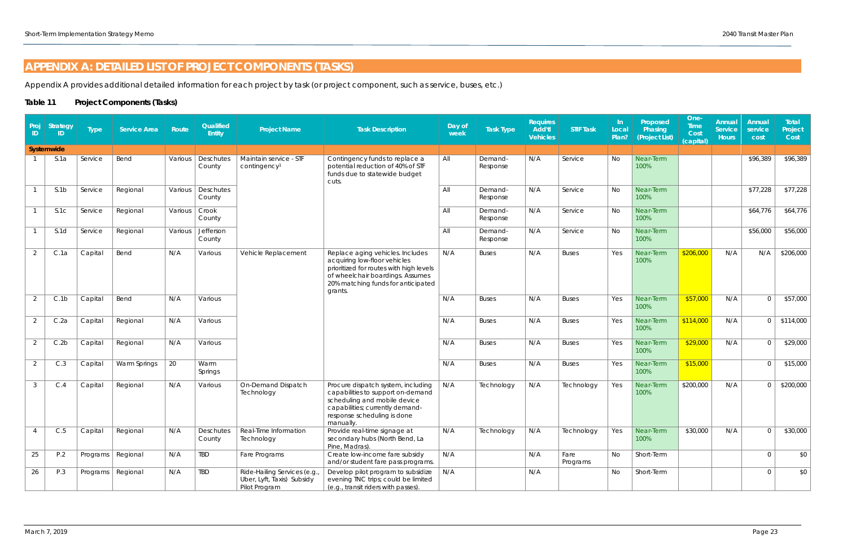## <span id="page-22-0"></span>**APPENDIX A: DETAILED LIST OF PROJECT COMPONENTS (TASKS)**

Appendix A provides additional detailed information for each project by task (or project component, such as service, buses, etc.)

#### **Table 11 Project Components (Tasks)**

| Proj<br>ID     | <b>Strategy</b><br>ID. | <b>Type</b> | <b>Service Area</b> | Route   | Qualified<br><b>Entity</b> | <b>Project Name</b>                                                        | <b>Task Description</b>                                                                                                                                                                          | Day of<br>week | <b>Task Type</b>    | <b>Requires</b><br>Add'tl<br><b>Vehicles</b> | <b>STIF Task</b> | -In<br>Local<br>Plan? | Proposed<br>Phasing<br>(Project List) | One-<br><b>Time</b><br>Cost<br>(capital) | Annual<br><b>Service</b><br><b>Hours</b> | Annual<br>service<br>cost | Total<br>Project<br>Cost |
|----------------|------------------------|-------------|---------------------|---------|----------------------------|----------------------------------------------------------------------------|--------------------------------------------------------------------------------------------------------------------------------------------------------------------------------------------------|----------------|---------------------|----------------------------------------------|------------------|-----------------------|---------------------------------------|------------------------------------------|------------------------------------------|---------------------------|--------------------------|
|                | Systemwide             |             |                     |         |                            |                                                                            |                                                                                                                                                                                                  |                |                     |                                              |                  |                       |                                       |                                          |                                          |                           |                          |
|                | S.1a                   | Service     | Bend                | Various | Deschutes<br>County        | Maintain service - STF<br>contingency <sup>1</sup>                         | Contingency funds to replace a<br>potential reduction of 40% of STF<br>funds due to statewide budget<br>cuts.                                                                                    | All            | Demand-<br>Response | N/A                                          | Service          | No                    | Near-Term<br>100%                     |                                          |                                          | \$96,389                  | \$96,389                 |
|                | S.1b                   | Service     | Regional            | Various | Deschutes<br>County        |                                                                            |                                                                                                                                                                                                  | All            | Demand-<br>Response | N/A                                          | Service          | No                    | Near-Term<br>100%                     |                                          |                                          | \$77,228                  | \$77,228                 |
|                | S.1C                   | Service     | Regional            | Various | Crook<br>County            |                                                                            |                                                                                                                                                                                                  | All            | Demand-<br>Response | N/A                                          | Service          | No                    | Near-Term<br>100%                     |                                          |                                          | \$64,776                  | \$64,776                 |
|                | S.1d                   | Service     | Regional            | Various | Jefferson<br>County        |                                                                            |                                                                                                                                                                                                  | All            | Demand-<br>Response | N/A                                          | Service          | No                    | Near-Term<br>100%                     |                                          |                                          | \$56,000                  | \$56,000                 |
| 2              | C.1a                   | Capital     | Bend                | N/A     | Various                    | Vehicle Replacement                                                        | Replace aging vehicles. Includes<br>acquiring low-floor vehicles<br>prioritized for routes with high levels<br>of wheelchair boardings. Assumes<br>20% matching funds for anticipated<br>grants. | N/A            | <b>Buses</b>        | N/A                                          | <b>Buses</b>     | Yes                   | Near-Term<br>100%                     | \$206,000                                | N/A                                      | N/A                       | \$206,000                |
| 2              | C.1b                   | Capital     | Bend                | N/A     | Various                    |                                                                            |                                                                                                                                                                                                  | N/A            | <b>Buses</b>        | N/A                                          | <b>Buses</b>     | Yes                   | Near-Term<br>100%                     | \$57,000                                 | N/A                                      | $\Omega$                  | \$57,000                 |
| $\overline{2}$ | C.2a                   | Capital     | Regional            | N/A     | Various                    |                                                                            |                                                                                                                                                                                                  | N/A            | <b>Buses</b>        | N/A                                          | <b>Buses</b>     | Yes                   | Near-Term<br>100%                     | \$114,000                                | N/A                                      | $\Omega$                  | \$114,000                |
| 2              | C.2b                   | Capital     | Regional            | N/A     | Various                    |                                                                            |                                                                                                                                                                                                  | N/A            | <b>Buses</b>        | N/A                                          | <b>Buses</b>     | Yes                   | Near-Term<br>100%                     | \$29,000                                 | N/A                                      |                           | \$29,000                 |
| 2              | C.3                    | Capital     | Warm Springs        | 20      | Warm<br>Springs            |                                                                            |                                                                                                                                                                                                  | N/A            | <b>Buses</b>        | N/A                                          | <b>Buses</b>     | Yes                   | Near-Term<br>100%                     | \$15,000                                 |                                          |                           | \$15,000                 |
| 3              | C.4                    | Capital     | Regional            | N/A     | Various                    | On-Demand Dispatch<br>Technology                                           | Procure dispatch system, including<br>capabilities to support on-demand<br>scheduling and mobile device<br>capabilities; currently demand-<br>response scheduling is done<br>manually.           | N/A            | Technology          | N/A                                          | Technology       | Yes                   | Near-Term<br>100%                     | \$200,000                                | N/A                                      |                           | \$200,000                |
| 4              | C.5                    | Capital     | Regional            | N/A     | Deschutes<br>County        | Real-Time Information<br>Technology                                        | Provide real-time signage at<br>secondary hubs (North Bend, La<br>Pine, Madras).                                                                                                                 | N/A            | Technology          | N/A                                          | Technology       | Yes                   | Near-Term<br>100%                     | \$30,000                                 | N/A                                      | $\Omega$                  | \$30,000                 |
| 25             | P.2                    | Programs    | Regional            | N/A     | TBD                        | Fare Programs                                                              | Create low-income fare subsidy<br>and/or student fare pass programs.                                                                                                                             | N/A            |                     | N/A                                          | Fare<br>Programs | No                    | Short-Term                            |                                          |                                          | $\Omega$                  | \$0                      |
| 26             | P.3                    |             | Programs   Regional | N/A     | <b>TBD</b>                 | Ride-Hailing Services (e.g.<br>Uber, Lyft, Taxis) Subsidy<br>Pilot Program | Develop pilot program to subsidize<br>evening TNC trips; could be limited<br>(e.g., transit riders with passes).                                                                                 | N/A            |                     | N/A                                          |                  | No                    | Short-Term                            |                                          |                                          | $\Omega$                  | \$0                      |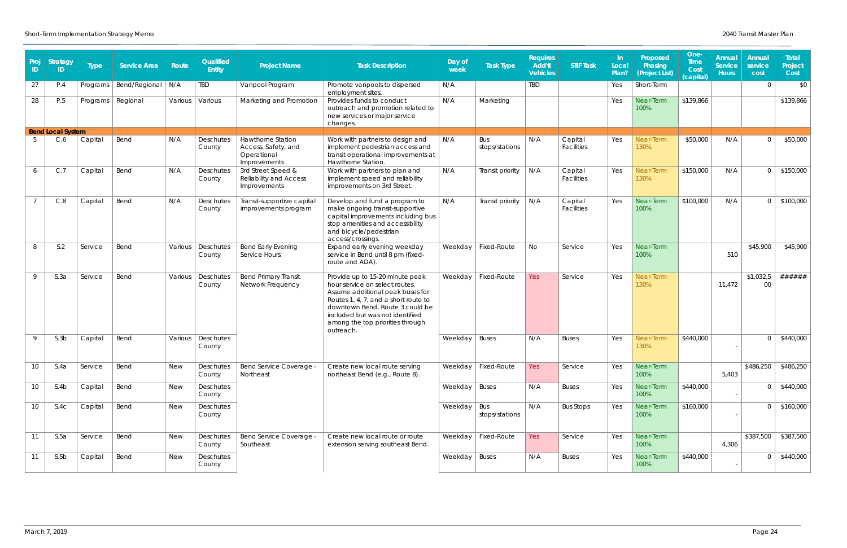| Proj<br><b>ID</b> | <b>Strategy</b><br>ID    | <b>Type</b> | <b>Service Area</b> | Route      | Qualified<br><b>Entity</b> | <b>Project Name</b>                                                     | <b>Task Description</b>                                                                                                                                                                                                                                              | Day of<br>week  | <b>Task Type</b>      | <b>Requires</b><br>Add'tl<br><b>Vehicles</b> | <b>STIF Task</b>      | -In<br>Local<br>Plan? | Proposed<br>Phasing<br>(Project List) | One-<br><b>Time</b><br>Cost<br>(capital) | Annual<br><b>Service</b><br><b>Hours</b> | Annual<br>service<br>cost | Total<br>Project<br>Cost |
|-------------------|--------------------------|-------------|---------------------|------------|----------------------------|-------------------------------------------------------------------------|----------------------------------------------------------------------------------------------------------------------------------------------------------------------------------------------------------------------------------------------------------------------|-----------------|-----------------------|----------------------------------------------|-----------------------|-----------------------|---------------------------------------|------------------------------------------|------------------------------------------|---------------------------|--------------------------|
| 27                | P.4                      | Programs    | Bend/Regional       | N/A        | TBD                        | Vanpool Program                                                         | Promote vanpools to dispersed<br>employment sites.                                                                                                                                                                                                                   | N/A             |                       | <b>TBD</b>                                   |                       | Yes                   | Short-Term                            |                                          |                                          | $\cap$                    | \$0                      |
| 28                | P.5                      | Programs    | Regional            | Various    | Various                    | Marketing and Promotion                                                 | Provides funds to conduct<br>outreach and promotion related to<br>new services or major service<br>changes.                                                                                                                                                          | N/A             | Marketing             |                                              |                       | Yes                   | Near-Term<br>100%                     | \$139,866                                |                                          |                           | \$139,866                |
|                   | <b>Bend Local System</b> |             |                     |            |                            |                                                                         |                                                                                                                                                                                                                                                                      |                 |                       |                                              |                       |                       |                                       |                                          |                                          |                           |                          |
|                   | C.6                      | Capital     | Bend                | N/A        | Deschutes<br>County        | Hawthorne Station<br>Access, Safety, and<br>Operational<br>Improvements | Work with partners to design and<br>implement pedestrian access and<br>transit operational improvements at<br>Hawthorne Station.                                                                                                                                     | N/A             | Bus<br>stops/stations | N/A                                          | Capital<br>Facilities | Yes                   | Near-Term<br>130%                     | \$50,000                                 | N/A                                      |                           | \$50,000                 |
| 6                 | C.7                      | Capital     | Bend                | N/A        | Deschutes<br>County        | 3rd Street Speed &<br>Reliability and Access<br>Improvements            | Work with partners to plan and<br>implement speed and reliability<br>improvements on 3rd Street.                                                                                                                                                                     | N/A             | Transit priority      | N/A                                          | Capital<br>Facilities | Yes                   | Near-Term<br>130%                     | \$150,000                                | N/A                                      | $\cap$                    | \$150,000                |
|                   | C.8                      | Capital     | Bend                | N/A        | Deschutes<br>County        | Transit-supportive capital<br>improvements program                      | Develop and fund a program to<br>make ongoing transit-supportive<br>capital improvements including bus<br>stop amenities and accessibility<br>and bicycle/pedestrian<br>access/crossings.                                                                            | N/A             | Transit priority      | N/A                                          | Capital<br>Facilities | Yes                   | Near-Term<br>100%                     | \$100,000                                | N/A                                      |                           | \$100,000                |
| 8                 | S.2                      | Service     | Bend                | Various    | Deschutes<br>County        | <b>Bend Early Evening</b><br>Service Hours                              | Expand early evening weekday<br>service in Bend until 8 pm (fixed-<br>route and ADA).                                                                                                                                                                                | Weekday         | Fixed-Route           | No                                           | Service               | Yes                   | Near-Term<br>100%                     |                                          | 510                                      | \$45,900                  | \$45,900                 |
| 9                 | S.3a                     | Service     | Bend                | Various    | Deschutes<br>County        | <b>Bend Primary Transit</b><br>Network Frequency                        | Provide up to 15-20 minute peak<br>hour service on select routes.<br>Assume additional peak buses for<br>Routes 1, 4, 7, and a short route to<br>downtown Bend. Route 3 could be<br>included but was not identified<br>among the top priorities through<br>outreach. | Weekday         | Fixed-Route           | Yes                                          | Service               | Yes                   | Near-Term<br>130%                     |                                          | 11,472                                   | \$1,032,5<br>00           | ######                   |
| $\mathsf Q$       | S.3b                     | Capital     | Bend                | Various    | Deschutes<br>County        |                                                                         |                                                                                                                                                                                                                                                                      | Weekday         | <b>Buses</b>          | N/A                                          | <b>Buses</b>          | Yes                   | Near-Term<br>130%                     | \$440,000                                |                                          |                           | \$440,000                |
| 10                | S.4a                     | Service     | Bend                | <b>New</b> | Deschutes<br>County        | Bend Service Coverage -<br>Northeast                                    | Create new local route serving<br>northeast Bend (e.g., Route 8).                                                                                                                                                                                                    |                 | Weekday   Fixed-Route | Yes                                          | Service               | Yes                   | Near-Term<br>100%                     |                                          | 5,403                                    | \$486,250                 | \$486,250                |
| 10                | S.4b                     | Capital     | Bend                | <b>New</b> | Deschutes<br>County        |                                                                         |                                                                                                                                                                                                                                                                      | Weekday   Buses |                       | N/A                                          | <b>Buses</b>          | Yes                   | Near-Term<br>100%                     | \$440,000                                |                                          | $\Omega$                  | \$440,000                |
| 10                | S.4C                     | Capital     | Bend                | <b>New</b> | Deschutes<br>County        |                                                                         |                                                                                                                                                                                                                                                                      | Weekday         | Bus<br>stops/stations | N/A                                          | <b>Bus Stops</b>      | Yes                   | Near-Term<br>100%                     | \$160,000                                |                                          |                           | \$160,000                |
| 11                | S.5a                     | Service     | Bend                | <b>New</b> | Deschutes<br>County        | Bend Service Coverage -<br>Southeast                                    | Create new local route or route<br>extension serving southeast Bend.                                                                                                                                                                                                 |                 | Weekday   Fixed-Route | Yes                                          | Service               | Yes                   | Near-Term<br>100%                     |                                          | 4,306                                    | \$387,500                 | \$387,500                |
| 11                | S.5b                     | Capital     | Bend                | <b>New</b> | Deschutes<br>County        |                                                                         |                                                                                                                                                                                                                                                                      | Weekday   Buses |                       | N/A                                          | <b>Buses</b>          | Yes                   | Near-Term<br>100%                     | \$440,000                                |                                          |                           | \$440,000                |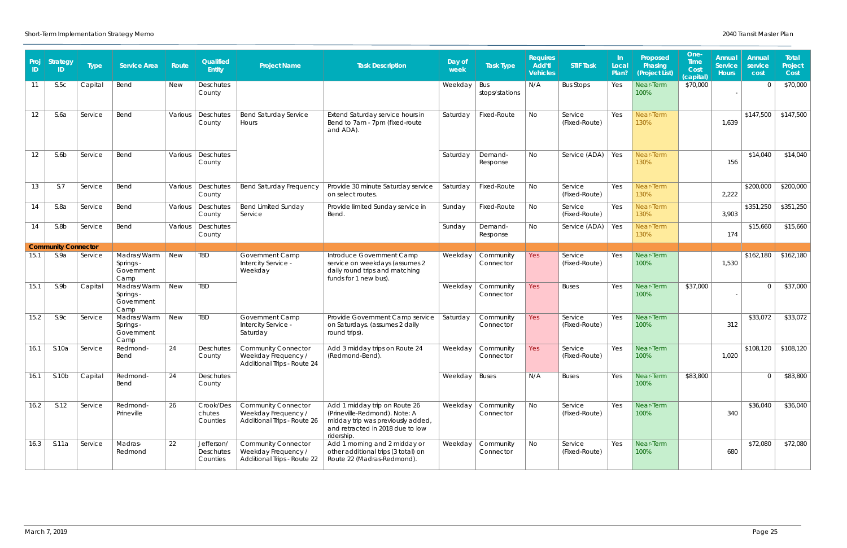| Proj<br>ID | <b>Strategy</b><br>ID.     | <b>Type</b> | <b>Service Area</b>                            | Route      | Qualified<br>Entity                 | <b>Project Name</b>                                                              | <b>Task Description</b>                                                                                                                               | Day of<br>week  | <b>Task Type</b>       | <b>Requires</b><br><b>Add'tl</b><br><b>Vehicles</b> | <b>STIF Task</b>         | -In<br>Local<br>Plan? | Proposed<br>Phasing<br>(Project List) | One-<br><b>Time</b><br>Cost<br>(capital) | Annual<br><b>Service</b><br><b>Hours</b> | Annual<br>service<br>cost | Total<br>Project<br>Cost |
|------------|----------------------------|-------------|------------------------------------------------|------------|-------------------------------------|----------------------------------------------------------------------------------|-------------------------------------------------------------------------------------------------------------------------------------------------------|-----------------|------------------------|-----------------------------------------------------|--------------------------|-----------------------|---------------------------------------|------------------------------------------|------------------------------------------|---------------------------|--------------------------|
| 11         | S.5C                       | Capital     | Bend                                           | <b>New</b> | Deschutes<br>County                 |                                                                                  |                                                                                                                                                       | Weekday         | Bus<br>stops/stations  | N/A                                                 | <b>Bus Stops</b>         | Yes                   | Near-Term<br>100%                     | \$70,000                                 |                                          |                           | \$70,000                 |
| 12         | S.6a                       | Service     | Bend                                           | Various    | Deschutes<br>County                 | Bend Saturday Service<br>Hours                                                   | Extend Saturday service hours in<br>Bend to 7am - 7pm (fixed-route<br>and ADA).                                                                       | Saturday        | Fixed-Route            | No                                                  | Service<br>(Fixed-Route) | Yes                   | Near-Term<br>130%                     |                                          | 1,639                                    | \$147,500                 | \$147,500                |
| 12         | S.6b                       | Service     | Bend                                           | Various    | Deschutes<br>County                 |                                                                                  |                                                                                                                                                       | Saturday        | Demand-<br>Response    | No.                                                 | Service (ADA)   Yes      |                       | Near-Term<br>130%                     |                                          | 156                                      | \$14,040                  | \$14,040                 |
| 13         | S.7                        | Service     | Bend                                           | Various    | Deschutes<br>County                 | <b>Bend Saturday Frequency</b>                                                   | Provide 30 minute Saturday service<br>on select routes.                                                                                               | Saturday        | <b>Fixed-Route</b>     | No                                                  | Service<br>(Fixed-Route) | Yes                   | Near-Term<br>130%                     |                                          | 2,222                                    | \$200,000                 | \$200,000                |
| 14         | S.8a                       | Service     | Bend                                           | Various    | Deschutes<br>County                 | <b>Bend Limited Sunday</b><br>Service                                            | Provide limited Sunday service in<br><b>Bend</b>                                                                                                      | Sunday          | Fixed-Route            | No                                                  | Service<br>(Fixed-Route) | Yes                   | Near-Term<br>130%                     |                                          | 3,903                                    | \$351,250                 | \$351,250                |
| 14         | S.8b                       | Service     | Bend                                           | Various    | Deschutes<br>County                 |                                                                                  |                                                                                                                                                       | Sunday          | Demand-<br>Response    | No                                                  | Service (ADA)            | Yes                   | Near-Term<br>130%                     |                                          | 174                                      | \$15,660                  | \$15,660                 |
|            | <b>Community Connector</b> |             |                                                |            |                                     |                                                                                  |                                                                                                                                                       |                 |                        |                                                     |                          |                       |                                       |                                          |                                          |                           |                          |
| 15.1       | S.9a                       | Service     | Madras/Warm<br>Springs -<br>Government<br>Camp | <b>New</b> | TBD                                 | Government Camp<br>Intercity Service -<br>Weekday                                | Introduce Government Camp<br>service on weekdays (assumes 2<br>daily round trips and matching<br>funds for 1 new bus)                                 | Weekday         | Community<br>Connector | <b>Yes</b>                                          | Service<br>(Fixed-Route) | Yes                   | Near-Term<br>100%                     |                                          | 1,530                                    | \$162,180                 | \$162,180                |
| 15.1       | S.9b                       | Capital     | Madras/Warm<br>Springs -<br>Government<br>Camp | <b>New</b> | TBD                                 |                                                                                  |                                                                                                                                                       | Weekday         | Community<br>Connector | <b>Yes</b>                                          | <b>Buses</b>             | Yes                   | Near-Term<br>100%                     | \$37,000                                 |                                          | $\cap$                    | \$37,000                 |
| 15.2       | S.9C                       | Service     | Madras/Warm<br>Springs -<br>Government<br>Camp | <b>New</b> | <b>TBD</b>                          | Government Camp<br>Intercity Service -<br>Saturday                               | Provide Government Camp service<br>on Saturdays. (assumes 2 daily<br>round trips).                                                                    | Saturday        | Community<br>Connector | Yes                                                 | Service<br>(Fixed-Route) | Yes                   | Near-Term<br>100%                     |                                          | 312                                      | \$33,072                  | \$33,072                 |
| 16.1       | S.10a                      | Service     | Redmond-<br>Bend                               | 24         | Deschutes<br>County                 | <b>Community Connector</b><br>Weekday Frequency /<br>Additional Trips - Route 24 | Add 3 midday trips on Route 24<br>(Redmond-Bend).                                                                                                     | Weekday         | Community<br>Connector | Yes                                                 | Service<br>(Fixed-Route) | Yes                   | Near-Term<br>100%                     |                                          | 1,020                                    | \$108,120                 | \$108,120                |
| 16.1       | S.10b                      | Capital     | Redmond-<br>Bend                               | 24         | Deschutes<br>County                 |                                                                                  |                                                                                                                                                       | Weekday   Buses |                        | N/A                                                 | <b>Buses</b>             | Yes                   | Near-Term<br>100%                     | \$83,800                                 |                                          |                           | \$83,800                 |
| 16.2       | S.12                       | Service     | Redmond-<br>Prineville                         | 26         | Crook/Des<br>chutes<br>Counties     | <b>Community Connector</b><br>Weekday Frequency /<br>Additional Trips - Route 26 | Add 1 midday trip on Route 26<br>(Prineville-Redmond). Note: A<br>midday trip was previously added,<br>and retracted in 2018 due to low<br>ridership. | Weekday         | Community<br>Connector | No                                                  | Service<br>(Fixed-Route) | Yes                   | Near-Term<br>100%                     |                                          | 340                                      | \$36,040                  | \$36,040                 |
| 16.3       | S.11a                      | Service     | Madras-<br>Redmond                             | 22         | Jefferson/<br>Deschutes<br>Counties | <b>Community Connector</b><br>Weekday Frequency /<br>Additional Trips - Route 22 | Add 1 morning and 2 midday or<br>other additional trips (3 total) on<br>Route 22 (Madras-Redmond).                                                    | Weekday         | Community<br>Connector | No                                                  | Service<br>(Fixed-Route) | Yes                   | Near-Term<br>100%                     |                                          | 680                                      | \$72,080                  | \$72,080                 |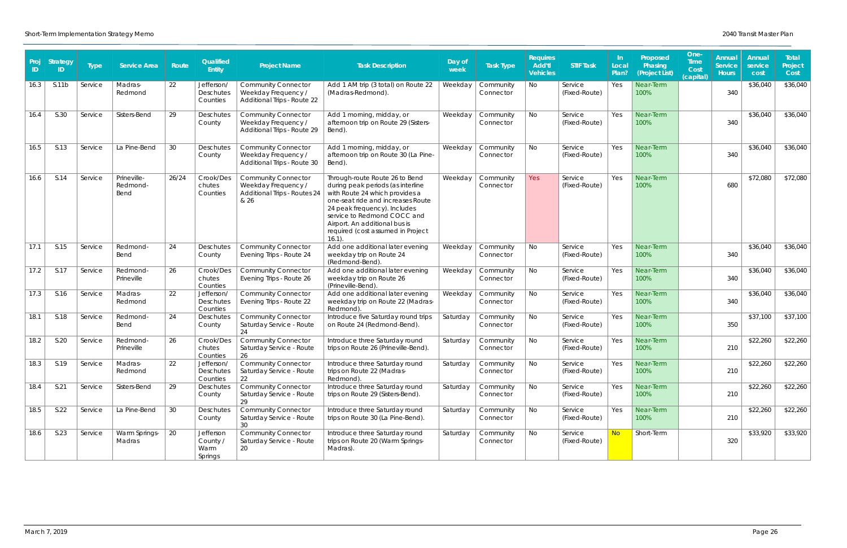| Proj<br>ID | <b>Strategy</b><br>ID. | <b>Type</b> | <b>Service Area</b>             | Route | Qualified<br>Entity                        | <b>Project Name</b>                                                                       | <b>Task Description</b>                                                                                                                                                                                                                                                                      | Day of<br>week | <b>Task Type</b>       | <b>Requires</b><br>Add'tl<br><b>Vehicles</b> | <b>STIF Task</b>         | -In<br>Local<br>Plan? | Proposed<br>Phasing<br>(Project List) | One-<br><b>Time</b><br>Cost<br>(capital) | Annual<br><b>Service</b><br><b>Hours</b> | Annual<br>service<br>cost | Total<br>Project<br>Cost |
|------------|------------------------|-------------|---------------------------------|-------|--------------------------------------------|-------------------------------------------------------------------------------------------|----------------------------------------------------------------------------------------------------------------------------------------------------------------------------------------------------------------------------------------------------------------------------------------------|----------------|------------------------|----------------------------------------------|--------------------------|-----------------------|---------------------------------------|------------------------------------------|------------------------------------------|---------------------------|--------------------------|
| 16.3       | S.11b                  | Service     | Madras-<br>Redmond              | 22    | Jefferson/<br>Deschutes<br>Counties        | <b>Community Connector</b><br>Weekday Frequency /<br>Additional Trips - Route 22          | Add 1 AM trip (3 total) on Route 22<br>(Madras-Redmond).                                                                                                                                                                                                                                     | Weekday        | Community<br>Connector | No                                           | Service<br>(Fixed-Route) | Yes                   | Near-Term<br>100%                     |                                          | 340                                      | \$36,040                  | \$36,040                 |
| 16.4       | S.30                   | Service     | Sisters-Bend                    | 29    | Deschutes<br>County                        | <b>Community Connector</b><br>Weekday Frequency /<br>Additional Trips - Route 29          | Add 1 morning, midday, or<br>afternoon trip on Route 29 (Sisters-<br>Bend).                                                                                                                                                                                                                  | Weekday        | Community<br>Connector | No                                           | Service<br>(Fixed-Route) | Yes                   | Near-Term<br>100%                     |                                          | 340                                      | \$36,040                  | \$36,040                 |
| 16.5       | S.13                   | Service     | La Pine-Bend                    | 30    | Deschutes<br>County                        | <b>Community Connector</b><br>Weekday Frequency /<br>Additional Trips - Route 30          | Add 1 morning, midday, or<br>afternoon trip on Route 30 (La Pine-<br>Bend).                                                                                                                                                                                                                  | Weekday        | Community<br>Connector | No                                           | Service<br>(Fixed-Route) | Yes                   | Near-Term<br>100%                     |                                          | 340                                      | \$36,040                  | \$36,040                 |
| 16.6       | S.14                   | Service     | Prineville-<br>Redmond-<br>Bend | 26/24 | Crook/Des<br>chutes<br>Counties            | <b>Community Connector</b><br>Weekday Frequency /<br>Additional Trips - Routes 24<br>& 26 | Through-route Route 26 to Bend<br>during peak periods (as interline<br>with Route 24 which provides a<br>one-seat ride and increases Route<br>24 peak frequency). Includes<br>service to Redmond COCC and<br>Airport. An additional bus is<br>required (cost assumed in Project<br>$16.1$ ). | Weekday        | Community<br>Connector | Yes                                          | Service<br>(Fixed-Route) | Yes                   | Near-Term<br>100%                     |                                          | 680                                      | \$72,080                  | \$72,080                 |
| 17.1       | S.15                   | Service     | Redmond-<br>Bend                | 24    | Deschutes<br>County                        | <b>Community Connector</b><br>Evening Trips - Route 24                                    | Add one additional later evening<br>weekday trip on Route 24<br>(Redmond-Bend)                                                                                                                                                                                                               | Weekday        | Community<br>Connector | No                                           | Service<br>(Fixed-Route) | Yes                   | Near-Term<br>100%                     |                                          | 340                                      | \$36,040                  | \$36,040                 |
| 17.2       | S.17                   | Service     | Redmond-<br>Prineville          | 26    | Crook/Des<br>chutes<br>Counties            | <b>Community Connector</b><br>Evening Trips - Route 26                                    | Add one additional later evening<br>weekday trip on Route 26<br>(Prineville-Bend).                                                                                                                                                                                                           | Weekday        | Community<br>Connector | No                                           | Service<br>(Fixed-Route) | Yes                   | Near-Term<br>100%                     |                                          | 340                                      | \$36,040                  | \$36,040                 |
| 17.3       | S.16                   | Service     | Madras-<br>Redmond              | 22    | Jefferson/<br>Deschutes<br>Counties        | <b>Community Connector</b><br>Evening Trips - Route 22                                    | Add one additional later evening<br>weekday trip on Route 22 (Madras-<br>Redmond).                                                                                                                                                                                                           | Weekday        | Community<br>Connector | No                                           | Service<br>(Fixed-Route) | Yes                   | Near-Term<br>100%                     |                                          | 340                                      | \$36,040                  | \$36,040                 |
| 18.1       | S.18                   | Service     | Redmond-<br>Bend                | 24    | Deschutes<br>County                        | <b>Community Connector</b><br>Saturday Service - Route<br>24                              | Introduce five Saturday round trips<br>on Route 24 (Redmond-Bend).                                                                                                                                                                                                                           | Saturday       | Community<br>Connector | No                                           | Service<br>(Fixed-Route) | Yes                   | Near-Term<br>100%                     |                                          | 350                                      | \$37,100                  | \$37,100                 |
| 18.2       | S.20                   | Service     | Redmond-<br>Prineville          | 26    | Crook/Des<br>chutes<br>Counties            | <b>Community Connector</b><br>Saturday Service - Route<br>26                              | Introduce three Saturday round<br>trips on Route 26 (Prineville-Bend).                                                                                                                                                                                                                       | Saturday       | Community<br>Connector | No                                           | Service<br>(Fixed-Route) | Yes                   | Near-Term<br>100%                     |                                          | 210                                      | \$22,260                  | \$22,260                 |
| 18.3       | S.19                   | Service     | Madras-<br>Redmond              | 22    | Jefferson/<br><b>Deschutes</b><br>Counties | <b>Community Connector</b><br>Saturday Service - Route<br>22                              | Introduce three Saturday round<br>trips on Route 22 (Madras-<br>Redmond).                                                                                                                                                                                                                    | Saturday       | Community<br>Connector | No                                           | Service<br>(Fixed-Route) | Yes                   | Near-Term<br>100%                     |                                          | 210                                      | \$22,260                  | \$22,260                 |
| 18.4       | S.21                   | Service     | Sisters-Bend                    | 29    | Deschutes<br>County                        | <b>Community Connector</b><br>Saturday Service - Route<br>29                              | Introduce three Saturday round<br>trips on Route 29 (Sisters-Bend).                                                                                                                                                                                                                          | Saturday       | Community<br>Connector | No                                           | Service<br>(Fixed-Route) | Yes                   | Near-Term<br>100%                     |                                          | 210                                      | \$22,260                  | \$22,260                 |
| 18.5       | S.22                   | Service     | La Pine-Bend                    | 30    | Deschutes<br>County                        | <b>Community Connector</b><br>Saturday Service - Route<br>30                              | Introduce three Saturday round<br>trips on Route 30 (La Pine-Bend).                                                                                                                                                                                                                          | Saturday       | Community<br>Connector | No                                           | Service<br>(Fixed-Route) | Yes                   | Near-Term<br>100%                     |                                          | 210                                      | \$22,260                  | \$22,260                 |
| 18.6       | S.23                   | Service     | Warm Springs-<br>Madras         | 20    | Jefferson<br>County /<br>Warm<br>Springs   | <b>Community Connector</b><br>Saturday Service - Route<br>20                              | Introduce three Saturday round<br>trips on Route 20 (Warm Springs-<br>Madras).                                                                                                                                                                                                               | Saturday       | Community<br>Connector | No                                           | Service<br>(Fixed-Route) | <b>No</b>             | Short-Term                            |                                          | 320                                      | \$33,920                  | \$33,920                 |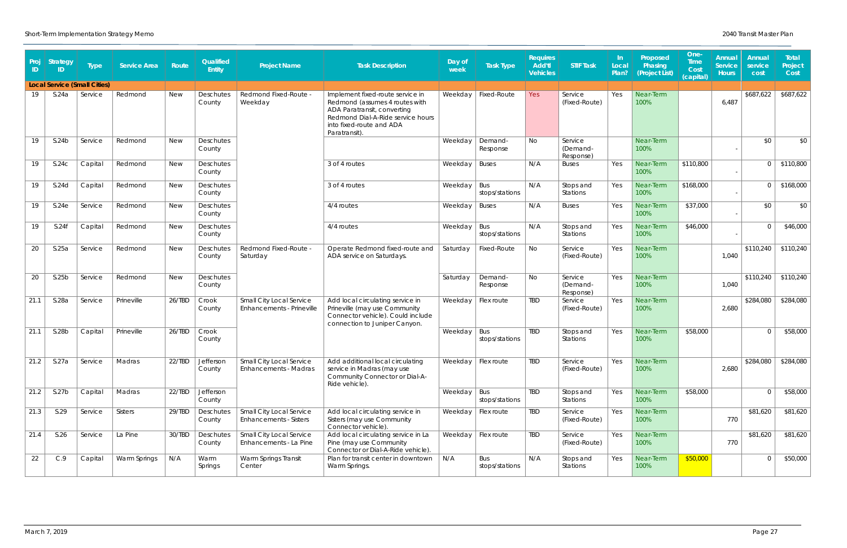| Proj<br>ID | <b>Strategy</b><br>ID. | <b>Type</b>                         | <b>Service Area</b> | Route      | Qualified<br>Entity        | <b>Project Name</b>                                       | <b>Task Description</b>                                                                                                                                                            | Day of<br>week | Task Type             | <b>Requires</b><br><b>Add'tl</b><br><b>Vehicles</b> | <b>STIF Task</b>                 | -In<br>Local<br>Plan? | Proposed<br>Phasing<br>(Project List) | One-<br><b>Time</b><br>Cost<br>(capital) | Annual<br><b>Service</b><br><b>Hours</b> | Annual<br>service<br>cost | Total<br>Project<br>Cost |
|------------|------------------------|-------------------------------------|---------------------|------------|----------------------------|-----------------------------------------------------------|------------------------------------------------------------------------------------------------------------------------------------------------------------------------------------|----------------|-----------------------|-----------------------------------------------------|----------------------------------|-----------------------|---------------------------------------|------------------------------------------|------------------------------------------|---------------------------|--------------------------|
|            |                        | <b>Local Service (Small Cities)</b> |                     |            |                            |                                                           |                                                                                                                                                                                    |                |                       |                                                     |                                  |                       |                                       |                                          |                                          |                           |                          |
| 19         | S.24a                  | Service                             | Redmond             | <b>New</b> | Deschutes<br>County        | Redmond Fixed-Route -<br>Weekday                          | Implement fixed-route service in<br>Redmond (assumes 4 routes with<br>ADA Paratransit, converting<br>Redmond Dial-A-Ride service hours<br>into fixed-route and ADA<br>Paratransit) | Weekday        | Fixed-Route           | Yes                                                 | Service<br>(Fixed-Route)         | Yes                   | Near-Term<br>100%                     |                                          | 6,487                                    | \$687,622                 | \$687,622                |
| 19         | S.24b                  | Service                             | Redmond             | <b>New</b> | Deschutes<br>County        |                                                           |                                                                                                                                                                                    | Weekday        | Demand-<br>Response   | No                                                  | Service<br>(Demand-<br>Response) |                       | Near-Term<br>100%                     |                                          |                                          | \$0                       | \$0                      |
| 19         | S.24C                  | Capital                             | Redmond             | <b>New</b> | Deschutes<br>County        |                                                           | 3 of 4 routes                                                                                                                                                                      | Weekday        | <b>Buses</b>          | N/A                                                 | <b>Buses</b>                     | Yes                   | Near-Term<br>100%                     | \$110,800                                |                                          |                           | \$110,800                |
| 19         | S.24d                  | Capital                             | Redmond             | <b>New</b> | Deschutes<br>County        |                                                           | 3 of 4 routes                                                                                                                                                                      | Weekday        | Bus<br>stops/stations | N/A                                                 | Stops and<br>Stations            | Yes                   | Near-Term<br>100%                     | \$168,000                                |                                          |                           | \$168,000                |
| 19         | S.24e                  | Service                             | Redmond             | <b>New</b> | <b>Deschutes</b><br>County |                                                           | 4/4 routes                                                                                                                                                                         | Weekday        | <b>Buses</b>          | N/A                                                 | <b>Buses</b>                     | Yes                   | Near-Term<br>100%                     | \$37,000                                 |                                          | \$0                       | \$0                      |
| 19         | S.24f                  | Capital                             | Redmond             | <b>New</b> | Deschutes<br>County        |                                                           | 4/4 routes                                                                                                                                                                         | Weekday        | Bus<br>stops/stations | N/A                                                 | Stops and<br>Stations            | Yes                   | Near-Term<br>100%                     | \$46,000                                 |                                          |                           | \$46,000                 |
| 20         | S.25a                  | Service                             | Redmond             | <b>New</b> | Deschutes<br>County        | Redmond Fixed-Route -<br>Saturday                         | Operate Redmond fixed-route and<br>ADA service on Saturdays.                                                                                                                       | Saturday       | Fixed-Route           | No                                                  | Service<br>(Fixed-Route)         | Yes                   | Near-Term<br>100%                     |                                          | 1,040                                    | \$110,240                 | \$110,240                |
| 20         | S.25b                  | Service                             | Redmond             | <b>New</b> | Deschutes<br>County        |                                                           |                                                                                                                                                                                    | Saturday       | Demand-<br>Response   | No                                                  | Service<br>(Demand-<br>Response) | Yes                   | Near-Term<br>100%                     |                                          | 1,040                                    | \$110,240                 | \$110,240                |
| 21.1       | S.28a                  | Service                             | Prineville          | 26/TBD     | Crook<br>County            | Small City Local Service<br>Enhancements - Prineville     | Add local circulating service in<br>Prineville (may use Community<br>Connector vehicle). Could include<br>connection to Juniper Canyon.                                            | Weekday        | Flex route            | TBD                                                 | Service<br>(Fixed-Route)         | Yes                   | Near-Term<br>100%                     |                                          | 2,680                                    | \$284,080                 | \$284,080                |
| 21.1       | S.28b                  | Capital                             | Prineville          | 26/TBD     | Crook<br>County            |                                                           |                                                                                                                                                                                    | Weekday        | Bus<br>stops/stations | TBD                                                 | Stops and<br>Stations            | Yes                   | Near-Term<br>100%                     | \$58,000                                 |                                          | $\cap$                    | \$58,000                 |
| 21.2       | S.27a                  | Service                             | Madras              | 22/TBD     | Jefferson<br>County        | Small City Local Service<br><b>Enhancements - Madras</b>  | Add additional local circulating<br>service in Madras (may use<br>Community Connector or Dial-A-<br>Ride vehicle).                                                                 |                | Weekday   Flex route  | TBD                                                 | Service<br>(Fixed-Route)         | Yes                   | Near-Term<br>100%                     |                                          | 2,680                                    | \$284,080                 | \$284,080                |
| 21.2       | S.27b                  | Capital                             | Madras              | 22/TBD     | Jefferson<br>County        |                                                           |                                                                                                                                                                                    | Weekday   Bus  | stops/stations        | <b>TBD</b>                                          | Stops and<br>Stations            | Yes                   | Near-Term<br>100%                     | \$58,000                                 |                                          |                           | \$58,000                 |
| 21.3       | S.29                   | Service                             | Sisters             | 29/TBD     | Deschutes<br>County        | Small City Local Service<br><b>Enhancements - Sisters</b> | Add local circulating service in<br>Sisters (may use Community<br>Connector vehicle).                                                                                              |                | Weekday   Flex route  | <b>TBD</b>                                          | Service<br>(Fixed-Route)         | Yes                   | Near-Term<br>100%                     |                                          | 770                                      | \$81,620                  | \$81,620                 |
| 21.4       | S.26                   | Service                             | La Pine             | 30/TBD     | Deschutes<br>County        | Small City Local Service<br>Enhancements - La Pine        | Add local circulating service in La<br>Pine (may use Community<br>Connector or Dial-A-Ride vehicle).                                                                               | Weekday        | Flex route            | TBD                                                 | Service<br>(Fixed-Route)         | Yes                   | Near-Term<br>100%                     |                                          | 770                                      | \$81,620                  | \$81,620                 |
| 22         | C.9                    | Capital                             | Warm Springs        | N/A        | Warm<br>Springs            | Warm Springs Transit<br>Center                            | Plan for transit center in downtown<br>Warm Springs.                                                                                                                               | N/A            | Bus<br>stops/stations | N/A                                                 | Stops and<br>Stations            | Yes                   | Near-Term<br>100%                     | \$50,000                                 |                                          |                           | \$50,000                 |